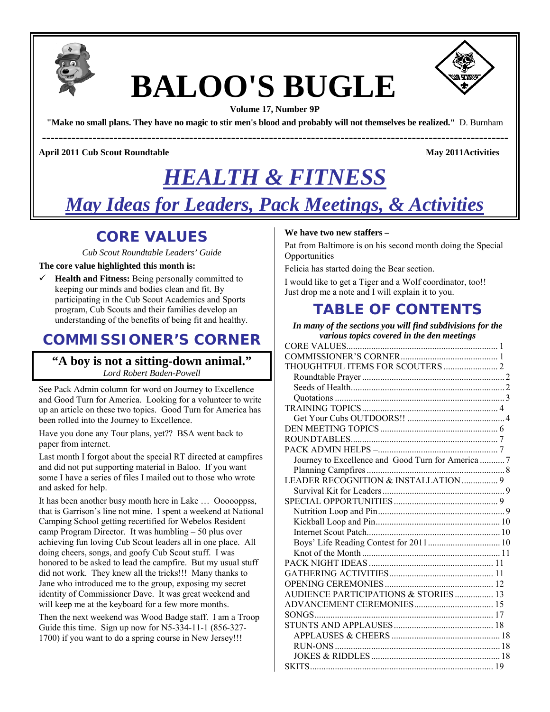

# **BALOO'S BUGLE**



**Volume 17, Number 9P** 

**"Make no small plans. They have no magic to stir men's blood and probably will not themselves be realized."** D. Burnham

**---------------------------------------------------------------------------------------------------------------** 

**April 2011 Cub Scout Roundtable May 2011Activities**  May 2011Activities

## *HEALTH & FITNESS*

*May Ideas for Leaders, Pack Meetings, & Activities*

### **CORE VALUES**

*Cub Scout Roundtable Leaders' Guide* 

### **The core value highlighted this month is:**

 $\checkmark$  **Health and Fitness:** Being personally committed to keeping our minds and bodies clean and fit. By participating in the Cub Scout Academics and Sports program, Cub Scouts and their families develop an understanding of the benefits of being fit and healthy.

### **COMMISSIONER'S CORNER**

### **"A boy is not a sitting-down animal."**  *Lord Robert Baden-Powell*

See Pack Admin column for word on Journey to Excellence and Good Turn for America. Looking for a volunteer to write up an article on these two topics. Good Turn for America has been rolled into the Journey to Excellence.

Have you done any Tour plans, yet?? BSA went back to paper from internet.

Last month I forgot about the special RT directed at campfires and did not put supporting material in Baloo. If you want some I have a series of files I mailed out to those who wrote and asked for help.

It has been another busy month here in Lake … Oooooppss, that is Garrison's line not mine. I spent a weekend at National Camping School getting recertified for Webelos Resident camp Program Director. It was humbling – 50 plus over achieving fun loving Cub Scout leaders all in one place. All doing cheers, songs, and goofy Cub Scout stuff. I was honored to be asked to lead the campfire. But my usual stuff did not work. They knew all the tricks!!! Many thanks to Jane who introduced me to the group, exposing my secret identity of Commissioner Dave. It was great weekend and will keep me at the keyboard for a few more months.

Then the next weekend was Wood Badge staff. I am a Troop Guide this time. Sign up now for N5-334-11-1 (856-327- 1700) if you want to do a spring course in New Jersey!!!

### **We have two new staffers –**

Pat from Baltimore is on his second month doing the Special **Opportunities** 

Felicia has started doing the Bear section.

I would like to get a Tiger and a Wolf coordinator, too!! Just drop me a note and I will explain it to you.

### **TABLE OF CONTENTS**

| In many of the sections you will find subdivisions for the |
|------------------------------------------------------------|
| various topics covered in the den meetings                 |
|                                                            |
|                                                            |
| THOUGHTFUL ITEMS FOR SCOUTERS  2                           |
|                                                            |
|                                                            |
|                                                            |
|                                                            |
|                                                            |
|                                                            |
|                                                            |
|                                                            |
| Journey to Excellence and Good Turn for America  7         |
|                                                            |
| LEADER RECOGNITION & INSTALLATION  9                       |
|                                                            |
|                                                            |
|                                                            |
|                                                            |
|                                                            |
|                                                            |
|                                                            |
|                                                            |
|                                                            |
|                                                            |
| AUDIENCE PARTICIPATIONS & STORIES 13                       |
|                                                            |
|                                                            |
|                                                            |
|                                                            |
|                                                            |
|                                                            |
|                                                            |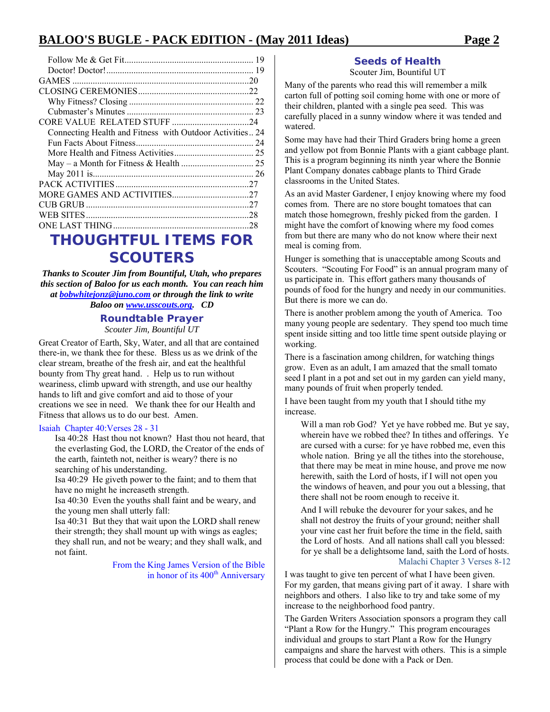| Connecting Health and Fitness with Outdoor Activities24 |  |
|---------------------------------------------------------|--|
|                                                         |  |
|                                                         |  |
|                                                         |  |
|                                                         |  |
|                                                         |  |
|                                                         |  |
|                                                         |  |
|                                                         |  |
|                                                         |  |
| TUAUAUTEUL ITEMA FAR                                    |  |

### **THOUGHTFUL ITEMS FOR SCOUTERS**

*Thanks to Scouter Jim from Bountiful, Utah, who prepares this section of Baloo for us each month. You can reach him at bobwhitejonz@juno.com or through the link to write Baloo on www.usscouts.org. CD* 

### **Roundtable Prayer**

*Scouter Jim, Bountiful UT* 

Great Creator of Earth, Sky, Water, and all that are contained there-in, we thank thee for these. Bless us as we drink of the clear stream, breathe of the fresh air, and eat the healthful bounty from Thy great hand. . Help us to run without weariness, climb upward with strength, and use our healthy hands to lift and give comfort and aid to those of your creations we see in need. We thank thee for our Health and Fitness that allows us to do our best. Amen.

#### Isaiah Chapter 40:Verses 28 - 31

Isa 40:28 Hast thou not known? Hast thou not heard, that the everlasting God, the LORD, the Creator of the ends of the earth, fainteth not, neither is weary? there is no searching of his understanding.

Isa 40:29 He giveth power to the faint; and to them that have no might he increaseth strength.

Isa 40:30 Even the youths shall faint and be weary, and the young men shall utterly fall:

Isa 40:31 But they that wait upon the LORD shall renew their strength; they shall mount up with wings as eagles; they shall run, and not be weary; and they shall walk, and not faint.

> From the King James Version of the Bible in honor of its 400<sup>th</sup> Anniversary

### **Seeds of Health**

Scouter Jim, Bountiful UT

Many of the parents who read this will remember a milk carton full of potting soil coming home with one or more of their children, planted with a single pea seed. This was carefully placed in a sunny window where it was tended and watered.

Some may have had their Third Graders bring home a green and yellow pot from Bonnie Plants with a giant cabbage plant. This is a program beginning its ninth year where the Bonnie Plant Company donates cabbage plants to Third Grade classrooms in the United States.

As an avid Master Gardener, I enjoy knowing where my food comes from. There are no store bought tomatoes that can match those homegrown, freshly picked from the garden. I might have the comfort of knowing where my food comes from but there are many who do not know where their next meal is coming from.

Hunger is something that is unacceptable among Scouts and Scouters. "Scouting For Food" is an annual program many of us participate in. This effort gathers many thousands of pounds of food for the hungry and needy in our communities. But there is more we can do.

There is another problem among the youth of America. Too many young people are sedentary. They spend too much time spent inside sitting and too little time spent outside playing or working.

There is a fascination among children, for watching things grow. Even as an adult, I am amazed that the small tomato seed I plant in a pot and set out in my garden can yield many, many pounds of fruit when properly tended.

I have been taught from my youth that I should tithe my increase.

Will a man rob God? Yet ye have robbed me. But ye say, wherein have we robbed thee? In tithes and offerings. Ye are cursed with a curse: for ye have robbed me, even this whole nation. Bring ye all the tithes into the storehouse, that there may be meat in mine house, and prove me now herewith, saith the Lord of hosts, if I will not open you the windows of heaven, and pour you out a blessing, that there shall not be room enough to receive it.

And I will rebuke the devourer for your sakes, and he shall not destroy the fruits of your ground; neither shall your vine cast her fruit before the time in the field, saith the Lord of hosts. And all nations shall call you blessed: for ye shall be a delightsome land, saith the Lord of hosts. Malachi Chapter 3 Verses 8-12

I was taught to give ten percent of what I have been given. For my garden, that means giving part of it away. I share with neighbors and others. I also like to try and take some of my increase to the neighborhood food pantry.

The Garden Writers Association sponsors a program they call "Plant a Row for the Hungry." This program encourages individual and groups to start Plant a Row for the Hungry campaigns and share the harvest with others. This is a simple process that could be done with a Pack or Den.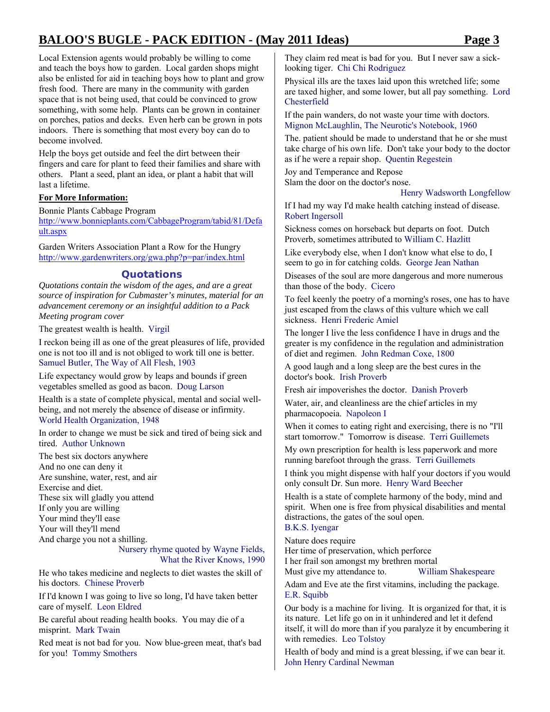Local Extension agents would probably be willing to come and teach the boys how to garden. Local garden shops might also be enlisted for aid in teaching boys how to plant and grow fresh food. There are many in the community with garden space that is not being used, that could be convinced to grow something, with some help. Plants can be grown in container on porches, patios and decks. Even herb can be grown in pots indoors. There is something that most every boy can do to become involved.

Help the boys get outside and feel the dirt between their fingers and care for plant to feed their families and share with others. Plant a seed, plant an idea, or plant a habit that will last a lifetime.

### **For More Information:**

Bonnie Plants Cabbage Program http://www.bonnieplants.com/CabbageProgram/tabid/81/Defa ult.aspx

Garden Writers Association Plant a Row for the Hungry http://www.gardenwriters.org/gwa.php?p=par/index.html

### **Quotations**

*Quotations contain the wisdom of the ages, and are a great source of inspiration for Cubmaster's minutes, material for an advancement ceremony or an insightful addition to a Pack Meeting program cover* 

The greatest wealth is health. Virgil

I reckon being ill as one of the great pleasures of life, provided one is not too ill and is not obliged to work till one is better. Samuel Butler, The Way of All Flesh, 1903

Life expectancy would grow by leaps and bounds if green vegetables smelled as good as bacon. Doug Larson

Health is a state of complete physical, mental and social wellbeing, and not merely the absence of disease or infirmity. World Health Organization, 1948

In order to change we must be sick and tired of being sick and tired. Author Unknown

The best six doctors anywhere And no one can deny it Are sunshine, water, rest, and air Exercise and diet. These six will gladly you attend If only you are willing Your mind they'll ease Your will they'll mend And charge you not a shilling.

Nursery rhyme quoted by Wayne Fields, What the River Knows, 1990

He who takes medicine and neglects to diet wastes the skill of his doctors. Chinese Proverb

If I'd known I was going to live so long, I'd have taken better care of myself. Leon Eldred

Be careful about reading health books. You may die of a misprint. Mark Twain

Red meat is not bad for you. Now blue-green meat, that's bad for you! Tommy Smothers

They claim red meat is bad for you. But I never saw a sicklooking tiger. Chi Chi Rodriguez

Physical ills are the taxes laid upon this wretched life; some are taxed higher, and some lower, but all pay something. Lord Chesterfield

If the pain wanders, do not waste your time with doctors. Mignon McLaughlin, The Neurotic's Notebook, 1960

The. patient should be made to understand that he or she must take charge of his own life. Don't take your body to the doctor as if he were a repair shop. Quentin Regestein

Joy and Temperance and Repose Slam the door on the doctor's nose.

#### Henry Wadsworth Longfellow

If I had my way I'd make health catching instead of disease. Robert Ingersoll

Sickness comes on horseback but departs on foot. Dutch Proverb, sometimes attributed to William C. Hazlitt

Like everybody else, when I don't know what else to do, I seem to go in for catching colds. George Jean Nathan

Diseases of the soul are more dangerous and more numerous than those of the body. Cicero

To feel keenly the poetry of a morning's roses, one has to have just escaped from the claws of this vulture which we call sickness. Henri Frederic Amiel

The longer I live the less confidence I have in drugs and the greater is my confidence in the regulation and administration of diet and regimen. John Redman Coxe, 1800

A good laugh and a long sleep are the best cures in the doctor's book. Irish Proverb

Fresh air impoverishes the doctor. Danish Proverb

Water, air, and cleanliness are the chief articles in my pharmacopoeia. Napoleon I

When it comes to eating right and exercising, there is no "I'll start tomorrow." Tomorrow is disease. Terri Guillemets

My own prescription for health is less paperwork and more running barefoot through the grass. Terri Guillemets

I think you might dispense with half your doctors if you would only consult Dr. Sun more. Henry Ward Beecher

Health is a state of complete harmony of the body, mind and spirit. When one is free from physical disabilities and mental distractions, the gates of the soul open. B.K.S. Iyengar

Nature does require

Her time of preservation, which perforce I her frail son amongst my brethren mortal Must give my attendance to. William Shakespeare

Adam and Eve ate the first vitamins, including the package. E.R. Squibb

Our body is a machine for living. It is organized for that, it is its nature. Let life go on in it unhindered and let it defend itself, it will do more than if you paralyze it by encumbering it with remedies. Leo Tolstoy

Health of body and mind is a great blessing, if we can bear it. John Henry Cardinal Newman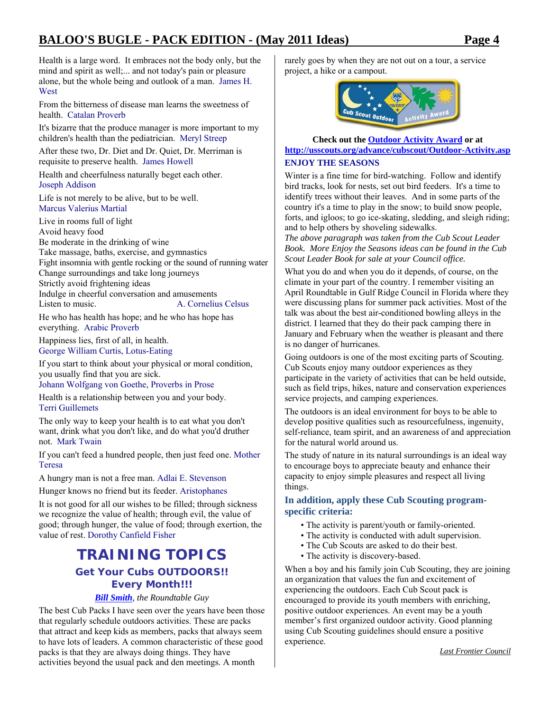Health is a large word. It embraces not the body only, but the mind and spirit as well;... and not today's pain or pleasure alone, but the whole being and outlook of a man. James H. **West** 

From the bitterness of disease man learns the sweetness of health. Catalan Proverb

It's bizarre that the produce manager is more important to my children's health than the pediatrician. Meryl Streep

After these two, Dr. Diet and Dr. Quiet, Dr. Merriman is requisite to preserve health. James Howell

Health and cheerfulness naturally beget each other. Joseph Addison

Life is not merely to be alive, but to be well. Marcus Valerius Martial

Live in rooms full of light Avoid heavy food Be moderate in the drinking of wine Take massage, baths, exercise, and gymnastics Fight insomnia with gentle rocking or the sound of running water Change surroundings and take long journeys Strictly avoid frightening ideas Indulge in cheerful conversation and amusements Listen to music. A. Cornelius Celsus

He who has health has hope; and he who has hope has everything. Arabic Proverb

Happiness lies, first of all, in health. George William Curtis, Lotus-Eating

If you start to think about your physical or moral condition, you usually find that you are sick.

Johann Wolfgang von Goethe, Proverbs in Prose

Health is a relationship between you and your body. Terri Guillemets

The only way to keep your health is to eat what you don't want, drink what you don't like, and do what you'd druther not. Mark Twain

If you can't feed a hundred people, then just feed one. Mother Teresa

A hungry man is not a free man. Adlai E. Stevenson

Hunger knows no friend but its feeder. Aristophanes

It is not good for all our wishes to be filled; through sickness we recognize the value of health; through evil, the value of good; through hunger, the value of food; through exertion, the value of rest. Dorothy Canfield Fisher

### **TRAINING TOPICS Get Your Cubs OUTDOORS!!**  *Every Month!!!*

### *Bill Smith, the Roundtable Guy*

The best Cub Packs I have seen over the years have been those that regularly schedule outdoors activities. These are packs that attract and keep kids as members, packs that always seem to have lots of leaders. A common characteristic of these good packs is that they are always doing things. They have activities beyond the usual pack and den meetings. A month

rarely goes by when they are not out on a tour, a service project, a hike or a campout.



### **Check out the Outdoor Activity Award or at http://usscouts.org/advance/cubscout/Outdoor-Activity.asp ENJOY THE SEASONS**

Winter is a fine time for bird-watching. Follow and identify bird tracks, look for nests, set out bird feeders. It's a time to identify trees without their leaves. And in some parts of the country it's a time to play in the snow; to build snow people, forts, and igloos; to go ice-skating, sledding, and sleigh riding; and to help others by shoveling sidewalks.

*The above paragraph was taken from the Cub Scout Leader Book. More Enjoy the Seasons ideas can be found in the Cub Scout Leader Book for sale at your Council office.*

What you do and when you do it depends, of course, on the climate in your part of the country. I remember visiting an April Roundtable in Gulf Ridge Council in Florida where they were discussing plans for summer pack activities. Most of the talk was about the best air-conditioned bowling alleys in the district. I learned that they do their pack camping there in January and February when the weather is pleasant and there is no danger of hurricanes.

Going outdoors is one of the most exciting parts of Scouting. Cub Scouts enjoy many outdoor experiences as they participate in the variety of activities that can be held outside, such as field trips, hikes, nature and conservation experiences service projects, and camping experiences.

The outdoors is an ideal environment for boys to be able to develop positive qualities such as resourcefulness, ingenuity, self-reliance, team spirit, and an awareness of and appreciation for the natural world around us.

The study of nature in its natural surroundings is an ideal way to encourage boys to appreciate beauty and enhance their capacity to enjoy simple pleasures and respect all living things.

### **In addition, apply these Cub Scouting programspecific criteria:**

- The activity is parent/youth or family-oriented.
- The activity is conducted with adult supervision.
- The Cub Scouts are asked to do their best.
- The activity is discovery-based.

When a boy and his family join Cub Scouting, they are joining an organization that values the fun and excitement of experiencing the outdoors. Each Cub Scout pack is encouraged to provide its youth members with enriching, positive outdoor experiences. An event may be a youth member's first organized outdoor activity. Good planning using Cub Scouting guidelines should ensure a positive experience.

*Last Frontier Council*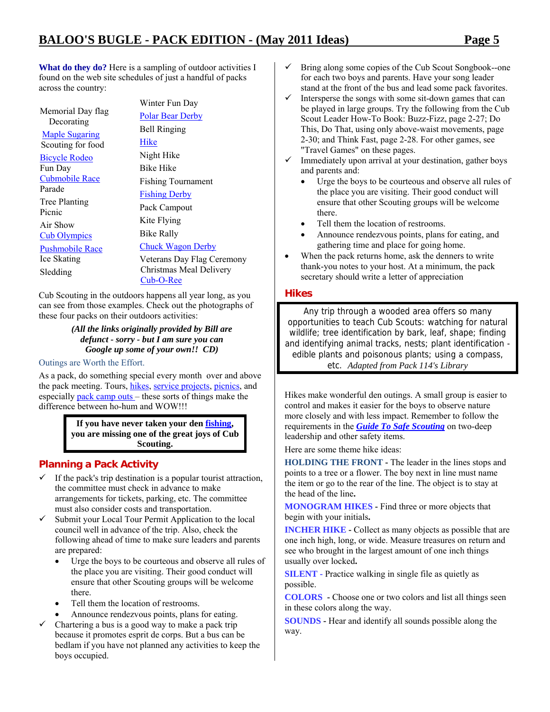What do they do? Here is a sampling of outdoor activities I found on the web site schedules of just a handful of packs across the country:

Memorial Day flag **Decorating** Maple Sugaring Scouting for food Bicycle Rodeo Fun Day Cubmobile Race Parade Tree Planting Picnic Air Show Cub Olympics Pushmobile Race Ice Skating Sledding Hike Cub-O-Ree

Winter Fun Day Polar Bear Derby Bell Ringing Night Hike Bike Hike Fishing Tournament Fishing Derby Pack Campout Kite Flying Bike Rally Chuck Wagon Derby Veterans Day Flag Ceremony Christmas Meal Delivery

Cub Scouting in the outdoors happens all year long, as you can see from those examples. Check out the photographs of these four packs on their outdoors activities:

> *(All the links originally provided by Bill are defunct - sorry - but I am sure you can Google up some of your own!! CD)*

### Outings are Worth the Effort.

As a pack, do something special every month over and above the pack meeting. Tours, hikes, service projects, picnics, and especially pack camp outs – these sorts of things make the difference between ho-hum and WOW!!!

> **If you have never taken your den fishing, you are missing one of the great joys of Cub Scouting.**

### **Planning a Pack Activity**

- $\checkmark$  If the pack's trip destination is a popular tourist attraction, the committee must check in advance to make arrangements for tickets, parking, etc. The committee must also consider costs and transportation.
- $\checkmark$  Submit your Local Tour Permit Application to the local council well in advance of the trip. Also, check the following ahead of time to make sure leaders and parents are prepared:
	- Urge the boys to be courteous and observe all rules of the place you are visiting. Their good conduct will ensure that other Scouting groups will be welcome there.
	- Tell them the location of restrooms.
	- Announce rendezvous points, plans for eating.
- Chartering a bus is a good way to make a pack trip because it promotes esprit de corps. But a bus can be bedlam if you have not planned any activities to keep the boys occupied.
- $\checkmark$  Bring along some copies of the Cub Scout Songbook--one for each two boys and parents. Have your song leader stand at the front of the bus and lead some pack favorites.
- Intersperse the songs with some sit-down games that can be played in large groups. Try the following from the Cub Scout Leader How-To Book: Buzz-Fizz, page 2-27; Do This, Do That, using only above-waist movements, page 2-30; and Think Fast, page 2-28. For other games, see "Travel Games" on these pages.
- $\checkmark$  Immediately upon arrival at your destination, gather boys and parents and:
	- Urge the boys to be courteous and observe all rules of the place you are visiting. Their good conduct will ensure that other Scouting groups will be welcome there.
	- Tell them the location of restrooms.
	- Announce rendezvous points, plans for eating, and gathering time and place for going home.
- When the pack returns home, ask the denners to write thank-you notes to your host. At a minimum, the pack secretary should write a letter of appreciation

### **Hikes**

Any trip through a wooded area offers so many opportunities to teach Cub Scouts: watching for natural wildlife; tree identification by bark, leaf, shape; finding and identifying animal tracks, nests; plant identification edible plants and poisonous plants; using a compass, etc. *Adapted from Pack 114's Library* 

Hikes make wonderful den outings. A small group is easier to control and makes it easier for the boys to observe nature more closely and with less impact. Remember to follow the requirements in the *Guide To Safe Scouting* on two-deep leadership and other safety items.

Here are some theme hike ideas:

**HOLDING THE FRONT -** The leader in the lines stops and points to a tree or a flower. The boy next in line must name the item or go to the rear of the line. The object is to stay at the head of the line**.** 

**MONOGRAM HIKES -** Find three or more objects that begin with your initials**.** 

**INCHER HIKE -** Collect as many objects as possible that are one inch high, long, or wide. Measure treasures on return and see who brought in the largest amount of one inch things usually over locked**.** 

**SILENT** - Practice walking in single file as quietly as possible.

**COLORS -** Choose one or two colors and list all things seen in these colors along the way.

**SOUNDS** - Hear and identify all sounds possible along the way.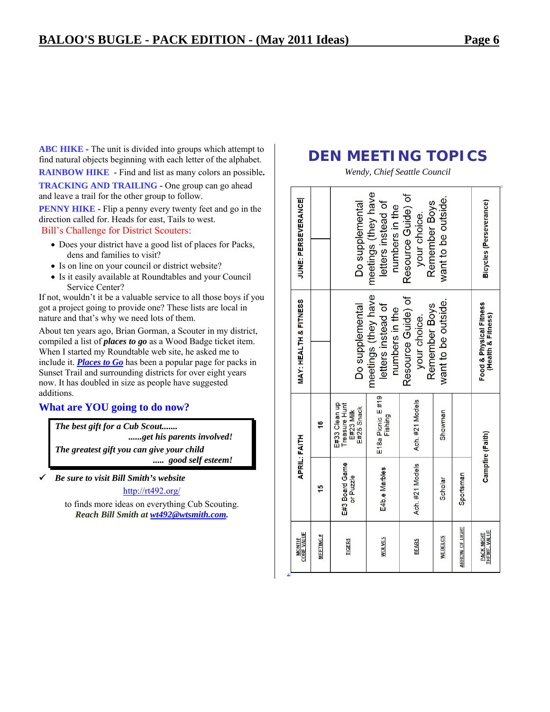**ABC HIKE - The unit is divided into groups which attempt to** find natural objects beginning with each letter of the alphabet.

**RAINBOW HIKE -** Find and list as many colors an possible**.** 

**TRACKING AND TRAILING - One group can go ahead** and leave a trail for the other group to follow.

**PENNY HIKE - Flip a penny every twenty feet and go in the** direction called for. Heads for east, Tails to west. Bill's Challenge for District Scouters:

- Does your district have a good list of places for Packs, dens and families to visit?
- Is on line on your council or district website?
- Is it easily available at Roundtables and your Council Service Center?

If not, wouldn't it be a valuable service to all those boys if you got a project going to provide one? These lists are local in nature and that's why we need lots of them.

About ten years ago, Brian Gorman, a Scouter in my district, compiled a list of *places to go* as a Wood Badge ticket item. When I started my Roundtable web site, he asked me to include it. *Places to Go* has been a popular page for packs in Sunset Trail and surrounding districts for over eight years now. It has doubled in size as people have suggested additions.

### **What are YOU going to do now?**

*The best gift for a Cub Scout....... ......get his parents involved! The greatest gift you can give your child ..... good self esteem!* 

9 *Be sure to visit Bill Smith's website* 

http://rt492.org/

to finds more ideas on everything Cub Scouting. *Reach Bill Smith at wt492@wtsmith.com.* 

### **DEN MEETING TOPICS**

*Wendy, Chief Seattle Council* 

| <b>CORE VALUE</b><br><b>MONTH/</b> |                             | <b>APRIL: FAITH</b>                                              | <b>MAY: HEALTH &amp; FITNESS</b>                            | <b>JUNE: PERSEVERANCE</b>                                   |
|------------------------------------|-----------------------------|------------------------------------------------------------------|-------------------------------------------------------------|-------------------------------------------------------------|
| <b>MEETING#</b>                    | 5                           | 16                                                               |                                                             |                                                             |
| <b>TIGERS</b>                      | E#3 Board Game<br>or Puzzle | E#33 Clean up<br>Treasure Hunt<br>E#25 Snack<br><b>E#23 Milk</b> | Do supplemental                                             | Do supplemental                                             |
| <b>WOLVES</b>                      | E4b,e Marbles               | E18a Picnic E#19<br>Fishing                                      | meetings (they have<br>letters instead of<br>numbers in the | meetings (they have<br>letters instead of<br>numbers in the |
| <b>BEARS</b>                       | Ach. #21 Models             | Ach. #21 Models                                                  | Resource Guide) of<br>Remember Boys<br>your choice.         | Resource Guide) of<br>Remember Boys<br>your choice.         |
| <b>WEBELOS</b>                     | Scholar                     | <b>Showman</b>                                                   | want to be outside.                                         | want to be outside.                                         |
| ARROW OF LIGHT                     | Sportsman                   |                                                                  |                                                             |                                                             |
| THEME, VALUE<br><b>PACK NIGHT</b>  |                             | Campfire (Faith)                                                 | Food & Physical Fitness<br>(Health & Fitness)               | Bicycles (Perseverance)                                     |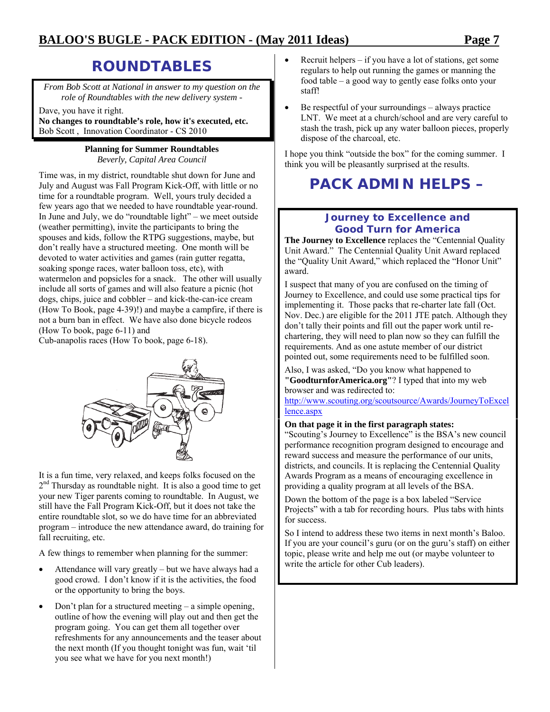### **ROUNDTABLES**

*From Bob Scott at National in answer to my question on the role of Roundtables with the new delivery system -* 

Dave, you have it right.

**No changes to roundtable's role, how it's executed, etc.**  Bob Scott , Innovation Coordinator - CS 2010

### **Planning for Summer Roundtables**

*Beverly, Capital Area Council* 

Time was, in my district, roundtable shut down for June and July and August was Fall Program Kick-Off, with little or no time for a roundtable program. Well, yours truly decided a few years ago that we needed to have roundtable year-round. In June and July, we do "roundtable light" – we meet outside (weather permitting), invite the participants to bring the spouses and kids, follow the RTPG suggestions, maybe, but don't really have a structured meeting. One month will be devoted to water activities and games (rain gutter regatta, soaking sponge races, water balloon toss, etc), with watermelon and popsicles for a snack. The other will usually include all sorts of games and will also feature a picnic (hot dogs, chips, juice and cobbler – and kick-the-can-ice cream (How To Book, page 4-39)!) and maybe a campfire, if there is not a burn ban in effect. We have also done bicycle rodeos (How To book, page 6-11) and

Cub-anapolis races (How To book, page 6-18).



It is a fun time, very relaxed, and keeps folks focused on the  $2<sup>nd</sup>$  Thursday as roundtable night. It is also a good time to get your new Tiger parents coming to roundtable. In August, we still have the Fall Program Kick-Off, but it does not take the entire roundtable slot, so we do have time for an abbreviated program – introduce the new attendance award, do training for fall recruiting, etc.

A few things to remember when planning for the summer:

- Attendance will vary greatly but we have always had a good crowd. I don't know if it is the activities, the food or the opportunity to bring the boys.
- Don't plan for a structured meeting a simple opening, outline of how the evening will play out and then get the program going. You can get them all together over refreshments for any announcements and the teaser about the next month (If you thought tonight was fun, wait 'til you see what we have for you next month!)
- Recruit helpers  $-$  if you have a lot of stations, get some regulars to help out running the games or manning the food table – a good way to gently ease folks onto your staff!
- Be respectful of your surroundings always practice LNT. We meet at a church/school and are very careful to stash the trash, pick up any water balloon pieces, properly dispose of the charcoal, etc.

I hope you think "outside the box" for the coming summer. I think you will be pleasantly surprised at the results.

## **PACK ADMIN HELPS –**

### **Journey to Excellence and Good Turn for America**

**The Journey to Excellence** replaces the "Centennial Quality Unit Award." The Centennial Quality Unit Award replaced the "Quality Unit Award," which replaced the "Honor Unit" award.

I suspect that many of you are confused on the timing of Journey to Excellence, and could use some practical tips for implementing it. Those packs that re-charter late fall (Oct. Nov. Dec.) are eligible for the 2011 JTE patch. Although they don't tally their points and fill out the paper work until rechartering, they will need to plan now so they can fulfill the requirements. And as one astute member of our district pointed out, some requirements need to be fulfilled soon.

Also, I was asked, "Do you know what happened to **"GoodturnforAmerica.org"**? I typed that into my web browser and was redirected to:

http://www.scouting.org/scoutsource/Awards/JourneyToExcel lence.aspx

### **On that page it in the first paragraph states:**

"Scouting's Journey to Excellence" is the BSA's new council performance recognition program designed to encourage and reward success and measure the performance of our units, districts, and councils. It is replacing the Centennial Quality Awards Program as a means of encouraging excellence in providing a quality program at all levels of the BSA.

Down the bottom of the page is a box labeled "Service Projects" with a tab for recording hours. Plus tabs with hints for success.

So I intend to address these two items in next month's Baloo. If you are your council's guru (or on the guru's staff) on either topic, please write and help me out (or maybe volunteer to write the article for other Cub leaders).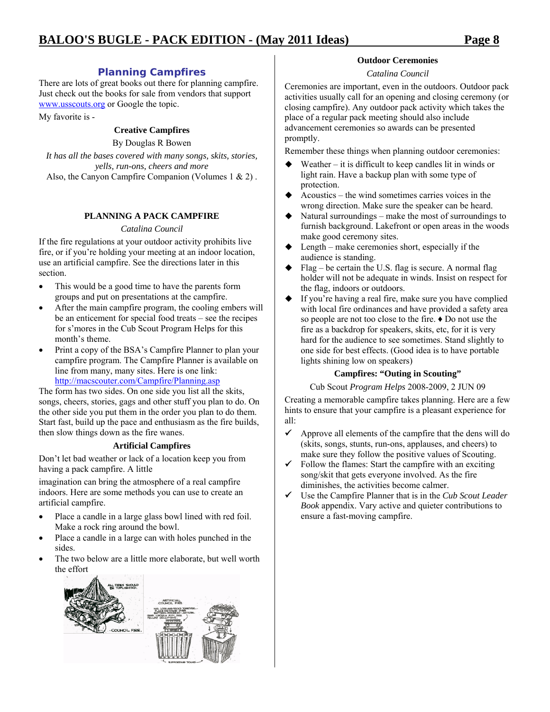### **Planning Campfires**

There are lots of great books out there for planning campfire. Just check out the books for sale from vendors that support www.usscouts.org or Google the topic.

My favorite is -

### **Creative Campfires**

### By Douglas R Bowen

*It has all the bases covered with many songs, skits, stories, yells, run-ons, cheers and more*  Also, the Canyon Campfire Companion (Volumes 1 & 2) .

### **PLANNING A PACK CAMPFIRE**

### *Catalina Council*

If the fire regulations at your outdoor activity prohibits live fire, or if you're holding your meeting at an indoor location, use an artificial campfire. See the directions later in this section.

- This would be a good time to have the parents form groups and put on presentations at the campfire.
- After the main campfire program, the cooling embers will be an enticement for special food treats – see the recipes for s'mores in the Cub Scout Program Helps for this month's theme.
- Print a copy of the BSA's Campfire Planner to plan your campfire program. The Campfire Planner is available on line from many, many sites. Here is one link: http://macscouter.com/Campfire/Planning.asp

The form has two sides. On one side you list all the skits, songs, cheers, stories, gags and other stuff you plan to do. On the other side you put them in the order you plan to do them. Start fast, build up the pace and enthusiasm as the fire builds, then slow things down as the fire wanes.

### **Artificial Campfires**

Don't let bad weather or lack of a location keep you from having a pack campfire. A little

imagination can bring the atmosphere of a real campfire indoors. Here are some methods you can use to create an artificial campfire.

- Place a candle in a large glass bowl lined with red foil. Make a rock ring around the bowl.
- Place a candle in a large can with holes punched in the sides.
- The two below are a little more elaborate, but well worth the effort



### **Outdoor Ceremonies**

### *Catalina Council*

Ceremonies are important, even in the outdoors. Outdoor pack activities usually call for an opening and closing ceremony (or closing campfire). Any outdoor pack activity which takes the place of a regular pack meeting should also include advancement ceremonies so awards can be presented promptly.

Remember these things when planning outdoor ceremonies:

- Weather it is difficult to keep candles lit in winds or light rain. Have a backup plan with some type of protection.
- Acoustics the wind sometimes carries voices in the wrong direction. Make sure the speaker can be heard.
- Natural surroundings make the most of surroundings to furnish background. Lakefront or open areas in the woods make good ceremony sites.
- Length make ceremonies short, especially if the audience is standing.
- Flag be certain the U.S. flag is secure. A normal flag holder will not be adequate in winds. Insist on respect for the flag, indoors or outdoors.
- If you're having a real fire, make sure you have complied with local fire ordinances and have provided a safety area so people are not too close to the fire. ♦ Do not use the fire as a backdrop for speakers, skits, etc, for it is very hard for the audience to see sometimes. Stand slightly to one side for best effects. (Good idea is to have portable lights shining low on speakers)

### **Campfires: "Outing in Scouting"**

### Cub Scout *Program Helps* 2008-2009, 2 JUN 09

Creating a memorable campfire takes planning. Here are a few hints to ensure that your campfire is a pleasant experience for all:

- $\checkmark$  Approve all elements of the campfire that the dens will do (skits, songs, stunts, run-ons, applauses, and cheers) to make sure they follow the positive values of Scouting.
- $\checkmark$  Follow the flames: Start the campfire with an exciting song/skit that gets everyone involved. As the fire diminishes, the activities become calmer.
- 9 Use the Campfire Planner that is in the *Cub Scout Leader Book* appendix. Vary active and quieter contributions to ensure a fast-moving campfire.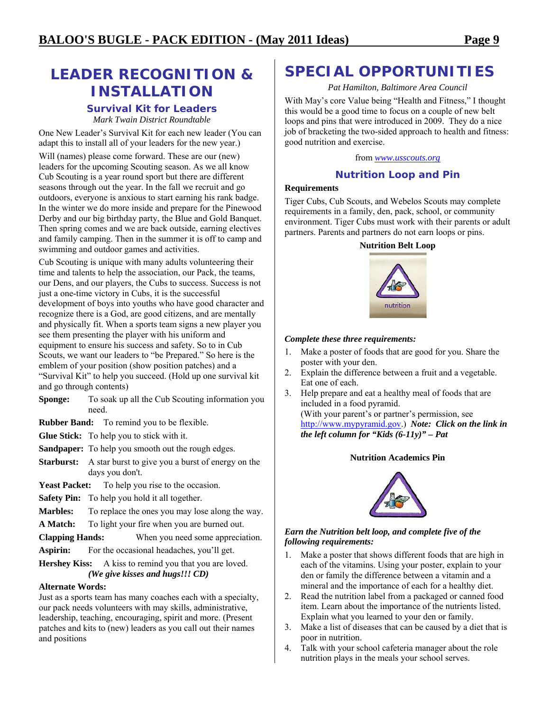### **LEADER RECOGNITION & INSTALLATION**

#### **Survival Kit for Leaders**  *Mark Twain District Roundtable*

One New Leader's Survival Kit for each new leader (You can adapt this to install all of your leaders for the new year.)

Will (names) please come forward. These are our (new) leaders for the upcoming Scouting season. As we all know Cub Scouting is a year round sport but there are different seasons through out the year. In the fall we recruit and go outdoors, everyone is anxious to start earning his rank badge. In the winter we do more inside and prepare for the Pinewood Derby and our big birthday party, the Blue and Gold Banquet. Then spring comes and we are back outside, earning electives and family camping. Then in the summer it is off to camp and swimming and outdoor games and activities.

Cub Scouting is unique with many adults volunteering their time and talents to help the association, our Pack, the teams, our Dens, and our players, the Cubs to success. Success is not just a one-time victory in Cubs, it is the successful development of boys into youths who have good character and recognize there is a God, are good citizens, and are mentally and physically fit. When a sports team signs a new player you see them presenting the player with his uniform and equipment to ensure his success and safety. So to in Cub Scouts, we want our leaders to "be Prepared." So here is the emblem of your position (show position patches) and a "Survival Kit" to help you succeed. (Hold up one survival kit and go through contents)

**Sponge:** To soak up all the Cub Scouting information you need.

**Rubber Band:** To remind you to be flexible.

**Glue Stick:** To help you to stick with it.

**Sandpaper:** To help you smooth out the rough edges.

**Starburst:** A star burst to give you a burst of energy on the days you don't.

- Yeast Packet: To help you rise to the occasion.
- **Safety Pin:** To help you hold it all together.
- **Marbles:** To replace the ones you may lose along the way.

**A Match:** To light your fire when you are burned out.

**Clapping Hands:** When you need some appreciation.

**Aspirin:** For the occasional headaches, you'll get.

**Hershey Kiss:** A kiss to remind you that you are loved. *(We give kisses and hugs!!! CD)* 

### **Alternate Words:**

Just as a sports team has many coaches each with a specialty, our pack needs volunteers with may skills, administrative, leadership, teaching, encouraging, spirit and more. (Present patches and kits to (new) leaders as you call out their names and positions

### **SPECIAL OPPORTUNITIES**

*Pat Hamilton, Baltimore Area Council* 

With May's core Value being "Health and Fitness," I thought this would be a good time to focus on a couple of new belt loops and pins that were introduced in 2009. They do a nice job of bracketing the two-sided approach to health and fitness: good nutrition and exercise.

from *www.usscouts.org*

### **Nutrition Loop and Pin**

### **Requirements**

Tiger Cubs, Cub Scouts, and Webelos Scouts may complete requirements in a family, den, pack, school, or community environment. Tiger Cubs must work with their parents or adult partners. Parents and partners do not earn loops or pins.

### **Nutrition Belt Loop**



### *Complete these three requirements:*

- 1. Make a poster of foods that are good for you. Share the poster with your den.
- 2. Explain the difference between a fruit and a vegetable. Eat one of each.
- 3. Help prepare and eat a healthy meal of foods that are included in a food pyramid.

(With your parent's or partner's permission, see http://www.mypyramid.gov.) *Note: Click on the link in the left column for "Kids (6-11y)" – Pat*

#### **Nutrition Academics Pin**



### *Earn the Nutrition belt loop, and complete five of the following requirements:*

- 1. Make a poster that shows different foods that are high in each of the vitamins. Using your poster, explain to your den or family the difference between a vitamin and a mineral and the importance of each for a healthy diet.
- 2. Read the nutrition label from a packaged or canned food item. Learn about the importance of the nutrients listed. Explain what you learned to your den or family.
- 3. Make a list of diseases that can be caused by a diet that is poor in nutrition.
- 4. Talk with your school cafeteria manager about the role nutrition plays in the meals your school serves.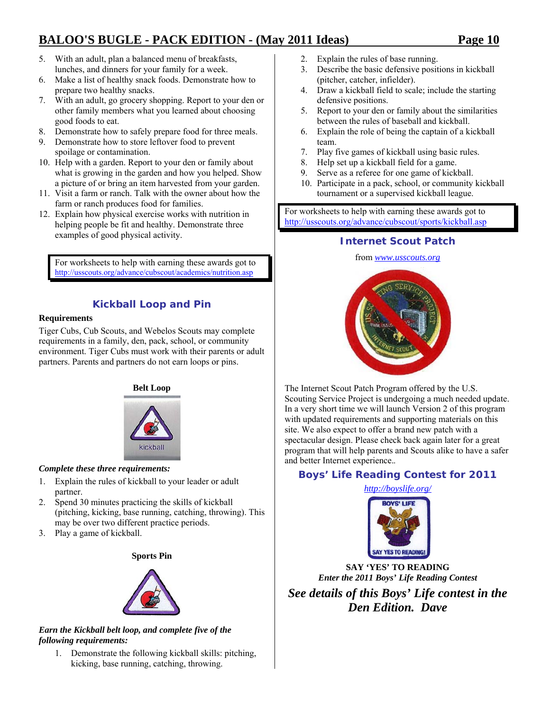- 5. With an adult, plan a balanced menu of breakfasts, lunches, and dinners for your family for a week.
- 6. Make a list of healthy snack foods. Demonstrate how to prepare two healthy snacks.
- 7. With an adult, go grocery shopping. Report to your den or other family members what you learned about choosing good foods to eat.
- 8. Demonstrate how to safely prepare food for three meals.
- 9. Demonstrate how to store leftover food to prevent spoilage or contamination.
- 10. Help with a garden. Report to your den or family about what is growing in the garden and how you helped. Show a picture of or bring an item harvested from your garden.
- 11. Visit a farm or ranch. Talk with the owner about how the farm or ranch produces food for families.
- 12. Explain how physical exercise works with nutrition in helping people be fit and healthy. Demonstrate three examples of good physical activity.

For worksheets to help with earning these awards got to http://usscouts.org/advance/cubscout/academics/nutrition.asp

### **Kickball Loop and Pin**

### **Requirements**

Tiger Cubs, Cub Scouts, and Webelos Scouts may complete requirements in a family, den, pack, school, or community environment. Tiger Cubs must work with their parents or adult partners. Parents and partners do not earn loops or pins.



### *Complete these three requirements:*

- 1. Explain the rules of kickball to your leader or adult partner.
- 2. Spend 30 minutes practicing the skills of kickball (pitching, kicking, base running, catching, throwing). This may be over two different practice periods.
- 3. Play a game of kickball.

**Sports Pin** 



### *Earn the Kickball belt loop, and complete five of the following requirements:*

1. Demonstrate the following kickball skills: pitching, kicking, base running, catching, throwing.

- 2. Explain the rules of base running.
- 3. Describe the basic defensive positions in kickball (pitcher, catcher, infielder).
- 4. Draw a kickball field to scale; include the starting defensive positions.
- 5. Report to your den or family about the similarities between the rules of baseball and kickball.
- 6. Explain the role of being the captain of a kickball team.
- 7. Play five games of kickball using basic rules.
- 8. Help set up a kickball field for a game.
- 9. Serve as a referee for one game of kickball.
- 10. Participate in a pack, school, or community kickball tournament or a supervised kickball league.

For worksheets to help with earning these awards got to http://usscouts.org/advance/cubscout/sports/kickball.asp

### **Internet Scout Patch**

#### from *www.usscouts.org*



The Internet Scout Patch Program offered by the U.S. Scouting Service Project is undergoing a much needed update. In a very short time we will launch Version 2 of this program with updated requirements and supporting materials on this site. We also expect to offer a brand new patch with a spectacular design. Please check back again later for a great program that will help parents and Scouts alike to have a safer and better Internet experience.*.* 

### **Boys' Life Reading Contest for 2011**

*http://boyslife.org/* 



**SAY 'YES' TO READING**  *Enter the 2011 Boys' Life Reading Contest* 

*See details of this Boys' Life contest in the Den Edition. Dave*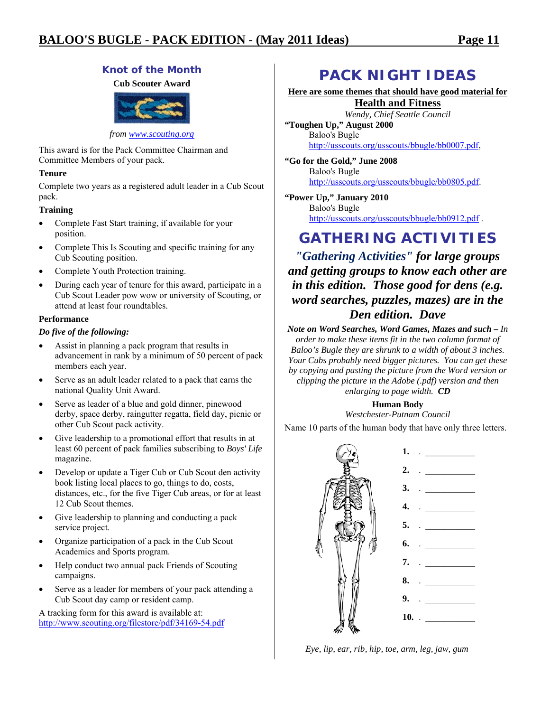### **Knot of the Month**

**Cub Scouter Award** 



*from www.scouting.org*

This award is for the Pack Committee Chairman and Committee Members of your pack.

### **Tenure**

Complete two years as a registered adult leader in a Cub Scout pack.

### **Training**

- Complete Fast Start training, if available for your position.
- Complete This Is Scouting and specific training for any Cub Scouting position.
- Complete Youth Protection training.
- During each year of tenure for this award, participate in a Cub Scout Leader pow wow or university of Scouting, or attend at least four roundtables.

### **Performance**

### *Do five of the following:*

- Assist in planning a pack program that results in advancement in rank by a minimum of 50 percent of pack members each year.
- Serve as an adult leader related to a pack that earns the national Quality Unit Award.
- Serve as leader of a blue and gold dinner, pinewood derby, space derby, raingutter regatta, field day, picnic or other Cub Scout pack activity.
- Give leadership to a promotional effort that results in at least 60 percent of pack families subscribing to *Boys' Life* magazine.
- Develop or update a Tiger Cub or Cub Scout den activity book listing local places to go, things to do, costs, distances, etc., for the five Tiger Cub areas, or for at least 12 Cub Scout themes.
- Give leadership to planning and conducting a pack service project.
- Organize participation of a pack in the Cub Scout Academics and Sports program.
- Help conduct two annual pack Friends of Scouting campaigns.
- Serve as a leader for members of your pack attending a Cub Scout day camp or resident camp.

A tracking form for this award is available at: http://www.scouting.org/filestore/pdf/34169-54.pdf

### **PACK NIGHT IDEAS**

**Here are some themes that should have good material for Health and Fitness**

*Wendy, Chief Seattle Council*  **"Toughen Up," August 2000**  Baloo's Bugle http://usscouts.org/usscouts/bbugle/bb0007.pdf,

**"Go for the Gold," June 2008**  Baloo's Bugle http://usscouts.org/usscouts/bbugle/bb0805.pdf.

**"Power Up," January 2010**  Baloo's Bugle http://usscouts.org/usscouts/bbugle/bb0912.pdf .

### **GATHERING ACTIVITIES**

*"Gathering Activities" for large groups and getting groups to know each other are in this edition. Those good for dens (e.g. word searches, puzzles, mazes) are in the Den edition. Dave* 

*Note on Word Searches, Word Games, Mazes and such – In order to make these items fit in the two column format of Baloo's Bugle they are shrunk to a width of about 3 inches. Your Cubs probably need bigger pictures. You can get these by copying and pasting the picture from the Word version or clipping the picture in the Adobe (.pdf) version and then enlarging to page width. CD* 

### **Human Body**

*Westchester-Putnam Council* 

Name 10 parts of the human body that have only three letters.



*Eye, lip, ear, rib, hip, toe, arm, leg, jaw, gum*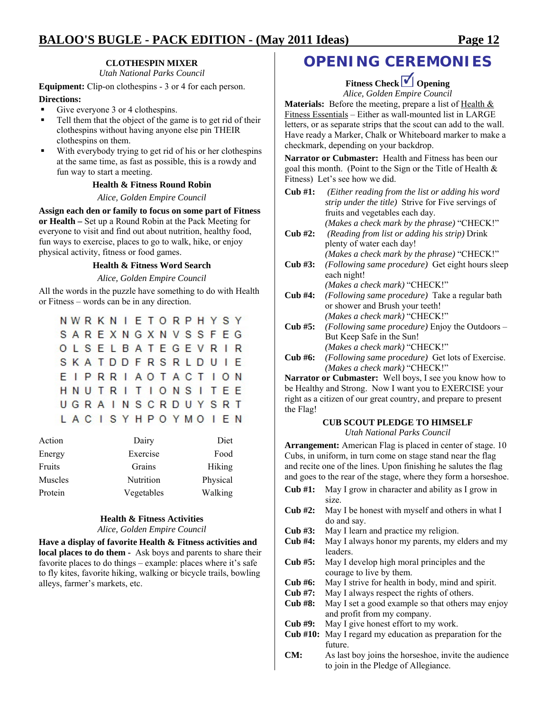### **CLOTHESPIN MIXER**

*Utah National Parks Council* 

**Equipment:** Clip-on clothespins - 3 or 4 for each person.

#### **Directions:**

- Give everyone 3 or 4 clothespins.
- Tell them that the object of the game is to get rid of their clothespins without having anyone else pin THEIR clothespins on them.
- With everybody trying to get rid of his or her clothespins at the same time, as fast as possible, this is a rowdy and fun way to start a meeting.

#### **Health & Fitness Round Robin**

*Alice, Golden Empire Council* 

**Assign each den or family to focus on some part of Fitness or Health –** Set up a Round Robin at the Pack Meeting for everyone to visit and find out about nutrition, healthy food, fun ways to exercise, places to go to walk, hike, or enjoy physical activity, fitness or food games.

#### **Health & Fitness Word Search**

*Alice, Golden Empire Council* 

All the words in the puzzle have something to do with Health or Fitness – words can be in any direction.

| <b>NWRKNIETORPHYSY</b> |  |  |  |  |  |  |  |
|------------------------|--|--|--|--|--|--|--|
| SAREXNGXNVSSFEG        |  |  |  |  |  |  |  |
| <b>OLSELBATEGEVRIR</b> |  |  |  |  |  |  |  |
| <b>SKATDDFRSRLDUIE</b> |  |  |  |  |  |  |  |
| EIPRRIAOTACTION        |  |  |  |  |  |  |  |
| <b>HNUTRITIONSITEE</b> |  |  |  |  |  |  |  |
| UGRAINSCRDUYSRT        |  |  |  |  |  |  |  |
| LACISYHPOYMOIEN        |  |  |  |  |  |  |  |

| Action  | Dairy      | Diet     |
|---------|------------|----------|
| Energy  | Exercise   | Food     |
| Fruits  | Grains     | Hiking   |
| Muscles | Nutrition  | Physical |
| Protein | Vegetables | Walking  |

#### **Health & Fitness Activities**  *Alice, Golden Empire Council*

**Have a display of favorite Health & Fitness activities and local places to do them -** Ask boys and parents to share their favorite places to do things – example: places where it's safe to fly kites, favorite hiking, walking or bicycle trails, bowling alleys, farmer's markets, etc.

### **OPENING CEREMONIES**

**Fitness Check Opening** *Alice, Golden Empire Council* 

**Materials:** Before the meeting, prepare a list of Health & Fitness Essentials – Either as wall-mounted list in LARGE letters, or as separate strips that the scout can add to the wall. Have ready a Marker, Chalk or Whiteboard marker to make a

**Narrator or Cubmaster:** Health and Fitness has been our goal this month. (Point to the Sign or the Title of Health & Fitness) Let's see how we did.

checkmark, depending on your backdrop.

| $Cub$ #1: | (Either reading from the list or adding his word<br>strip under the title) Strive for Five servings of |
|-----------|--------------------------------------------------------------------------------------------------------|
|           | fruits and vegetables each day.                                                                        |
|           |                                                                                                        |
|           | (Makes a check mark by the phrase) "CHECK!"                                                            |
| $Cub$ #2: | (Reading from list or adding his strip) Drink                                                          |
|           | plenty of water each day!                                                                              |
|           | (Makes a check mark by the phrase) "CHECK!"                                                            |
| Cub #3:   | (Following same procedure) Get eight hours sleep                                                       |
|           | each night!                                                                                            |
|           | (Makes a check mark) "CHECK!"                                                                          |
| Cub #4:   | (Following same procedure) Take a regular bath                                                         |
|           | or shower and Brush your teeth!                                                                        |
|           | (Makes a check mark) "CHECK!"                                                                          |
| Cub #5:   | (Following same procedure) Enjoy the Outdoors –                                                        |
|           | But Keep Safe in the Sun!                                                                              |
|           | (Makes a check mark) "CHECK!"                                                                          |
| Cub #6:   | (Following same procedure) Get lots of Exercise.                                                       |
|           | (Makes a check mark) "CHECK!"                                                                          |
|           | <b>Narrator or Cubmaster:</b> Well boys, I see you know how to                                         |
|           | be Healthy and Strong. Now I want you to EXERCISE your                                                 |
|           | right as a citizen of our great country, and prepare to present                                        |

#### **CUB SCOUT PLEDGE TO HIMSELF**  *Utah National Parks Council*

**Arrangement:** American Flag is placed in center of stage. 10 Cubs, in uniform, in turn come on stage stand near the flag and recite one of the lines. Upon finishing he salutes the flag and goes to the rear of the stage, where they form a horseshoe.

- **Cub #1:** May I grow in character and ability as I grow in size. **Cub #2:** May I be honest with myself and others in what I do and say.
- **Cub #3:** May I learn and practice my religion.

the Flag!

- **Cub #4:** May I always honor my parents, my elders and my leaders.
- **Cub #5:** May I develop high moral principles and the courage to live by them.
- **Cub #6:** May I strive for health in body, mind and spirit.
- **Cub #7:** May I always respect the rights of others.
- **Cub #8:** May I set a good example so that others may enjoy and profit from my company.
- **Cub #9:** May I give honest effort to my work.
- **Cub #10:** May I regard my education as preparation for the future.
- **CM:** As last boy joins the horseshoe, invite the audience to join in the Pledge of Allegiance.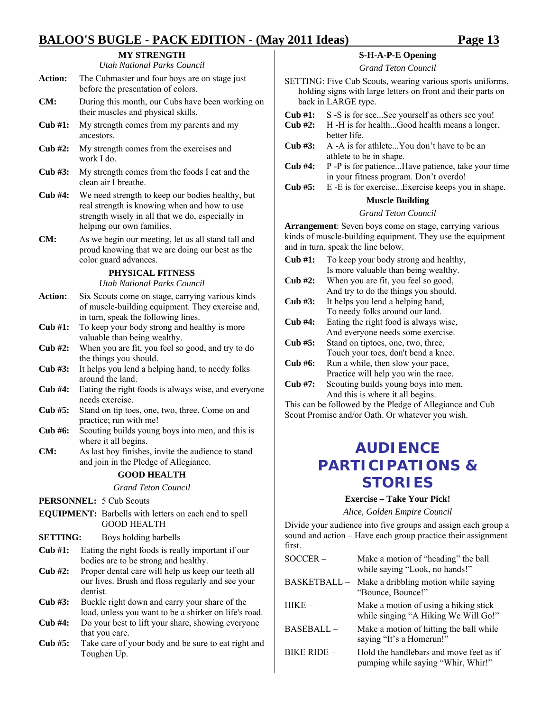### **MY STRENGTH**

*Utah National Parks Council* 

| <b>Action:</b> | The Cubmaster and four boys are on stage just |
|----------------|-----------------------------------------------|
|                | before the presentation of colors.            |

- **CM:** During this month, our Cubs have been working on their muscles and physical skills.
- **Cub #1:** My strength comes from my parents and my ancestors.
- **Cub #2:** My strength comes from the exercises and work I do.
- **Cub #3:** My strength comes from the foods I eat and the clean air I breathe.
- **Cub #4:** We need strength to keep our bodies healthy, but real strength is knowing when and how to use strength wisely in all that we do, especially in helping our own families.
- **CM:** As we begin our meeting, let us all stand tall and proud knowing that we are doing our best as the color guard advances.

#### **PHYSICAL FITNESS**

*Utah National Parks Council* 

- Action: Six Scouts come on stage, carrying various kinds of muscle-building equipment. They exercise and, in turn, speak the following lines.
- **Cub #1:** To keep your body strong and healthy is more valuable than being wealthy.
- **Cub #2:** When you are fit, you feel so good, and try to do the things you should.
- **Cub #3:** It helps you lend a helping hand, to needy folks around the land.
- **Cub #4:** Eating the right foods is always wise, and everyone needs exercise.
- **Cub #5:** Stand on tip toes, one, two, three. Come on and practice; run with me!
- **Cub #6:** Scouting builds young boys into men, and this is where it all begins.
- **CM:** As last boy finishes, invite the audience to stand and join in the Pledge of Allegiance.

### **GOOD HEALTH**

*Grand Teton Council* 

PERSONNEL: 5 Cub Scouts

**EQUIPMENT:** Barbells with letters on each end to spell GOOD HEALTH

#### **SETTING:** Boys holding barbells

- **Cub #1:** Eating the right foods is really important if our bodies are to be strong and healthy.
- **Cub #2:** Proper dental care will help us keep our teeth all our lives. Brush and floss regularly and see your dentist.
- **Cub #3:** Buckle right down and carry your share of the load, unless you want to be a shirker on life's road.
- **Cub #4:** Do your best to lift your share, showing everyone that you care.
- **Cub #5:** Take care of your body and be sure to eat right and Toughen Up.

### **S-H-A-P-E Opening**

*Grand Teton Council* 

- SETTING: Five Cub Scouts, wearing various sports uniforms, holding signs with large letters on front and their parts on back in LARGE type.
- **Cub #1:** S -S is for see...See yourself as others see you!
- **Cub #2:** H -H is for health...Good health means a longer, better life.
- **Cub #3:** A -A is for athlete...You don't have to be an athlete to be in shape.
- **Cub #4:** P -P is for patience...Have patience, take your time in your fitness program. Don't overdo!
- **Cub #5:** E -E is for exercise...Exercise keeps you in shape.

### **Muscle Building**

#### *Grand Teton Council*

**Arrangement**: Seven boys come on stage, carrying various kinds of muscle-building equipment. They use the equipment and in turn, speak the line below.

- **Cub #1:** To keep your body strong and healthy, Is more valuable than being wealthy.
- **Cub #2:** When you are fit, you feel so good, And try to do the things you should.
- **Cub #3:** It helps you lend a helping hand, To needy folks around our land.
- **Cub #4:** Eating the right food is always wise, And everyone needs some exercise.
- **Cub #5:** Stand on tiptoes, one, two, three, Touch your toes, don't bend a knee.
- **Cub #6:** Run a while, then slow your pace, Practice will help you win the race.
- **Cub #7:** Scouting builds young boys into men, And this is where it all begins.

This can be followed by the Pledge of Allegiance and Cub Scout Promise and/or Oath. Or whatever you wish.

### **AUDIENCE PARTICIPATIONS & STORIES**

#### **Exercise – Take Your Pick!**

*Alice, Golden Empire Council* 

Divide your audience into five groups and assign each group a sound and action – Have each group practice their assignment first.

| SOCCER-             | Make a motion of "heading" the ball<br>while saying "Look, no hands!"         |
|---------------------|-------------------------------------------------------------------------------|
| <b>BASKETBALL -</b> | Make a dribbling motion while saying<br>"Bounce, Bounce!"                     |
| $HIKE-$             | Make a motion of using a hiking stick<br>while singing "A Hiking We Will Go!" |
| BASEBALL-           | Make a motion of hitting the ball while<br>saying "It's a Homerun!"           |
| <b>BIKE RIDE -</b>  | Hold the handlebars and move feet as if<br>pumping while saying "Whir, Whir!" |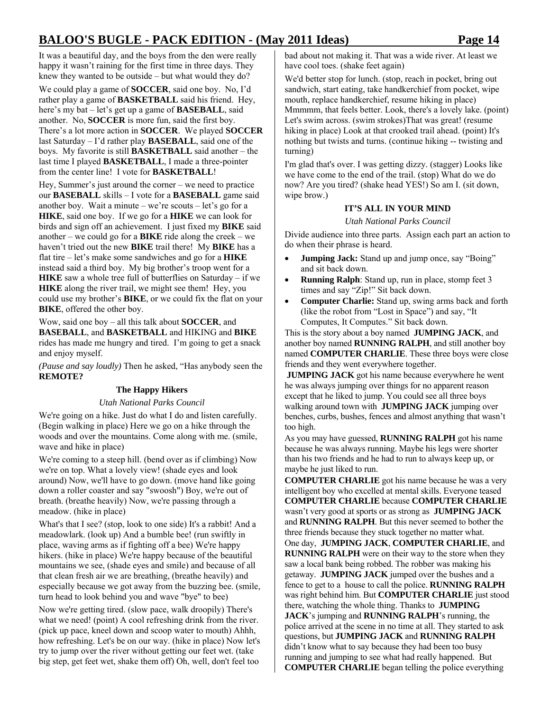It was a beautiful day, and the boys from the den were really happy it wasn't raining for the first time in three days. They knew they wanted to be outside – but what would they do?

We could play a game of **SOCCER**, said one boy. No, I'd rather play a game of **BASKETBALL** said his friend. Hey, here's my bat – let's get up a game of **BASEBALL**, said another. No, **SOCCER** is more fun, said the first boy. There's a lot more action in **SOCCER**. We played **SOCCER** last Saturday – I'd rather play **BASEBALL**, said one of the boys. My favorite is still **BASKETBALL** said another – the last time I played **BASKETBALL**, I made a three-pointer from the center line! I vote for **BASKETBALL**!

Hey, Summer's just around the corner – we need to practice our **BASEBALL** skills – I vote for a **BASEBALL** game said another boy. Wait a minute – we're scouts – let's go for a **HIKE**, said one boy. If we go for a **HIKE** we can look for birds and sign off an achievement. I just fixed my **BIKE** said another – we could go for a **BIKE** ride along the creek – we haven't tried out the new **BIKE** trail there! My **BIKE** has a flat tire – let's make some sandwiches and go for a **HIKE** instead said a third boy. My big brother's troop went for a **HIKE** saw a whole tree full of butterflies on Saturday – if we **HIKE** along the river trail, we might see them! Hey, you could use my brother's **BIKE**, or we could fix the flat on your **BIKE**, offered the other boy.

Wow, said one boy – all this talk about **SOCCER**, and **BASEBALL**, and **BASKETBALL** and HIKING and **BIKE** rides has made me hungry and tired. I'm going to get a snack and enjoy myself.

*(Pause and say loudly)* Then he asked, "Has anybody seen the **REMOTE?** 

### **The Happy Hikers**

#### *Utah National Parks Council*

We're going on a hike. Just do what I do and listen carefully. (Begin walking in place) Here we go on a hike through the woods and over the mountains. Come along with me. (smile, wave and hike in place)

We're coming to a steep hill. (bend over as if climbing) Now we're on top. What a lovely view! (shade eyes and look around) Now, we'll have to go down. (move hand like going down a roller coaster and say "swoosh") Boy, we're out of breath. (breathe heavily) Now, we're passing through a meadow. (hike in place)

What's that I see? (stop, look to one side) It's a rabbit! And a meadowlark. (look up) And a bumble bee! (run swiftly in place, waving arms as if fighting off a bee) We're happy hikers. (hike in place) We're happy because of the beautiful mountains we see, (shade eyes and smile) and because of all that clean fresh air we are breathing, (breathe heavily) and especially because we got away from the buzzing bee. (smile, turn head to look behind you and wave "bye" to bee)

Now we're getting tired. (slow pace, walk droopily) There's what we need! (point) A cool refreshing drink from the river. (pick up pace, kneel down and scoop water to mouth) Ahhh, how refreshing. Let's be on our way. (hike in place) Now let's try to jump over the river without getting our feet wet. (take big step, get feet wet, shake them off) Oh, well, don't feel too

bad about not making it. That was a wide river. At least we have cool toes. (shake feet again)

We'd better stop for lunch. (stop, reach in pocket, bring out sandwich, start eating, take handkerchief from pocket, wipe mouth, replace handkerchief, resume hiking in place) Mmmmm, that feels better. Look, there's a lovely lake. (point) Let's swim across. (swim strokes)That was great! (resume hiking in place) Look at that crooked trail ahead. (point) It's nothing but twists and turns. (continue hiking -- twisting and turning)

I'm glad that's over. I was getting dizzy. (stagger) Looks like we have come to the end of the trail. (stop) What do we do now? Are you tired? (shake head YES!) So am I. (sit down, wipe brow.)

#### **IT'S ALL IN YOUR MIND**

*Utah National Parks Council* 

Divide audience into three parts. Assign each part an action to do when their phrase is heard.

- **Jumping Jack:** Stand up and jump once, say "Boing" and sit back down.
- **Running Ralph**: Stand up, run in place, stomp feet 3 times and say "Zip!" Sit back down.
- **Computer Charlie:** Stand up, swing arms back and forth (like the robot from "Lost in Space") and say, "It Computes, It Computes." Sit back down.

This is the story about a boy named **JUMPING JACK**, and another boy named **RUNNING RALPH**, and still another boy named **COMPUTER CHARLIE**. These three boys were close friends and they went everywhere together.

**JUMPING JACK** got his name because everywhere he went he was always jumping over things for no apparent reason except that he liked to jump. You could see all three boys walking around town with **JUMPING JACK** jumping over benches, curbs, bushes, fences and almost anything that wasn't too high.

As you may have guessed, **RUNNING RALPH** got his name because he was always running. Maybe his legs were shorter than his two friends and he had to run to always keep up, or maybe he just liked to run.

**COMPUTER CHARLIE** got his name because he was a very intelligent boy who excelled at mental skills. Everyone teased **COMPUTER CHARLIE** because **COMPUTER CHARLIE** wasn't very good at sports or as strong as **JUMPING JACK** and **RUNNING RALPH**. But this never seemed to bother the three friends because they stuck together no matter what. One day, **JUMPING JACK**, **COMPUTER CHARLIE**, and **RUNNING RALPH** were on their way to the store when they saw a local bank being robbed. The robber was making his getaway. **JUMPING JACK** jumped over the bushes and a fence to get to a house to call the police. **RUNNING RALPH** was right behind him. But **COMPUTER CHARLIE** just stood there, watching the whole thing. Thanks to **JUMPING JACK**'s jumping and **RUNNING RALPH**'s running, the police arrived at the scene in no time at all. They started to ask questions, but **JUMPING JACK** and **RUNNING RALPH** didn't know what to say because they had been too busy running and jumping to see what had really happened. But **COMPUTER CHARLIE** began telling the police everything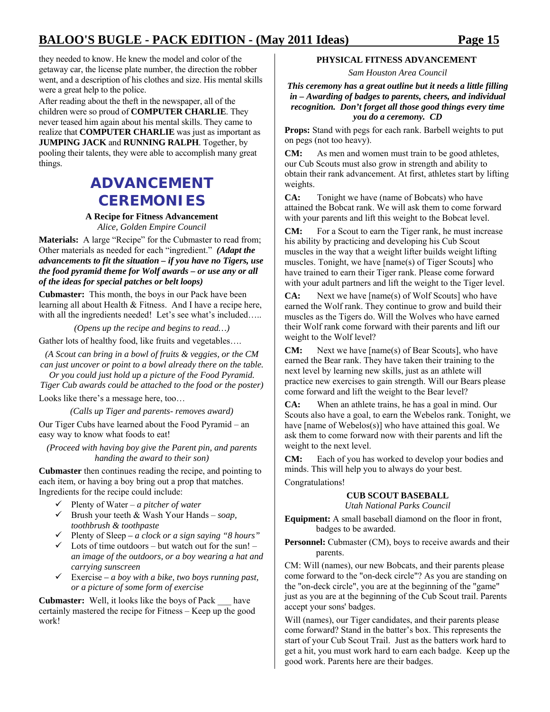they needed to know. He knew the model and color of the getaway car, the license plate number, the direction the robber went, and a description of his clothes and size. His mental skills were a great help to the police.

After reading about the theft in the newspaper, all of the children were so proud of **COMPUTER CHARLIE**. They never teased him again about his mental skills. They came to realize that **COMPUTER CHARLIE** was just as important as **JUMPING JACK** and **RUNNING RALPH**. Together, by pooling their talents, they were able to accomplish many great things.

### **ADVANCEMENT CEREMONIES**

#### **A Recipe for Fitness Advancement**  *Alice, Golden Empire Council*

**Materials:** A large "Recipe" for the Cubmaster to read from; Other materials as needed for each "ingredient." *(Adapt the advancements to fit the situation – if you have no Tigers, use the food pyramid theme for Wolf awards – or use any or all of the ideas for special patches or belt loops)* 

**Cubmaster:** This month, the boys in our Pack have been learning all about Health & Fitness. And I have a recipe here, with all the ingredients needed! Let's see what's included.....

*(Opens up the recipe and begins to read…)*  Gather lots of healthy food, like fruits and vegetables….

*(A Scout can bring in a bowl of fruits & veggies, or the CM can just uncover or point to a bowl already there on the table.* 

*Or you could just hold up a picture of the Food Pyramid. Tiger Cub awards could be attached to the food or the poster)* 

Looks like there's a message here, too…

*(Calls up Tiger and parents- removes award)* 

Our Tiger Cubs have learned about the Food Pyramid – an easy way to know what foods to eat!

*(Proceed with having boy give the Parent pin, and parents handing the award to their son)* 

**Cubmaster** then continues reading the recipe, and pointing to each item, or having a boy bring out a prop that matches. Ingredients for the recipe could include:

- 9 Plenty of Water *a pitcher of water*
- $\checkmark$  Brush your teeth  $\&$  Wash Your Hands *soap*, *toothbrush & toothpaste*
- 9 Plenty of Sleep  *a clock or a sign saying "8 hours"*
- $\checkmark$  Lots of time outdoors but watch out for the sun! *an image of the outdoors, or a boy wearing a hat and carrying sunscreen*
- $\checkmark$  Exercise a boy with a bike, two boys running past, *or a picture of some form of exercise*

**Cubmaster:** Well, it looks like the boys of Pack \_\_\_ have certainly mastered the recipe for Fitness – Keep up the good work!

### **PHYSICAL FITNESS ADVANCEMENT**

*Sam Houston Area Council* 

#### *This ceremony has a great outline but it needs a little filling in – Awarding of badges to parents, cheers, and individual recognition. Don't forget all those good things every time you do a ceremony. CD*

**Props:** Stand with pegs for each rank. Barbell weights to put on pegs (not too heavy).

**CM:** As men and women must train to be good athletes, our Cub Scouts must also grow in strength and ability to obtain their rank advancement. At first, athletes start by lifting weights.

**CA:** Tonight we have (name of Bobcats) who have attained the Bobcat rank. We will ask them to come forward with your parents and lift this weight to the Bobcat level.

**CM:** For a Scout to earn the Tiger rank, he must increase his ability by practicing and developing his Cub Scout muscles in the way that a weight lifter builds weight lifting muscles. Tonight, we have [name(s) of Tiger Scouts] who have trained to earn their Tiger rank. Please come forward with your adult partners and lift the weight to the Tiger level.

**CA:** Next we have [name(s) of Wolf Scouts] who have earned the Wolf rank. They continue to grow and build their muscles as the Tigers do. Will the Wolves who have earned their Wolf rank come forward with their parents and lift our weight to the Wolf level?

**CM:** Next we have [name(s) of Bear Scouts], who have earned the Bear rank. They have taken their training to the next level by learning new skills, just as an athlete will practice new exercises to gain strength. Will our Bears please come forward and lift the weight to the Bear level?

**CA:** When an athlete trains, he has a goal in mind. Our Scouts also have a goal, to earn the Webelos rank. Tonight, we have [name of Webelos(s)] who have attained this goal. We ask them to come forward now with their parents and lift the weight to the next level.

**CM:** Each of you has worked to develop your bodies and minds. This will help you to always do your best.

Congratulations!

### **CUB SCOUT BASEBALL**

*Utah National Parks Council* 

**Equipment:** A small baseball diamond on the floor in front, badges to be awarded.

**Personnel:** Cubmaster (CM), boys to receive awards and their parents.

CM: Will (names), our new Bobcats, and their parents please come forward to the "on-deck circle"? As you are standing on the "on-deck circle", you are at the beginning of the "game" just as you are at the beginning of the Cub Scout trail. Parents accept your sons' badges.

Will (names), our Tiger candidates, and their parents please come forward? Stand in the batter's box. This represents the start of your Cub Scout Trail. Just as the batters work hard to get a hit, you must work hard to earn each badge. Keep up the good work. Parents here are their badges.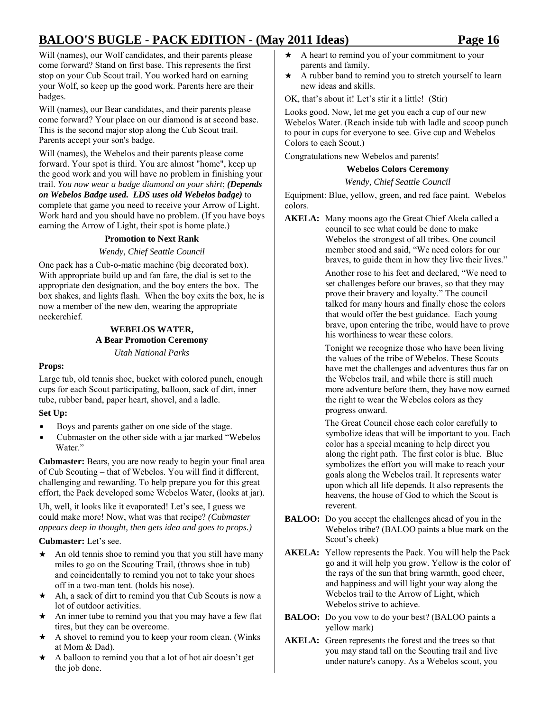Will (names), our Wolf candidates, and their parents please come forward? Stand on first base. This represents the first stop on your Cub Scout trail. You worked hard on earning your Wolf, so keep up the good work. Parents here are their badges.

Will (names), our Bear candidates, and their parents please come forward? Your place on our diamond is at second base. This is the second major stop along the Cub Scout trail. Parents accept your son's badge.

Will (names), the Webelos and their parents please come forward. Your spot is third. You are almost "home", keep up the good work and you will have no problem in finishing your trail. *You now wear a badge diamond on your shirt*; *(Depends on Webelos Badge used. LDS uses old Webelos badge)* to complete that game you need to receive your Arrow of Light. Work hard and you should have no problem. (If you have boys earning the Arrow of Light, their spot is home plate.)

### **Promotion to Next Rank**

### *Wendy, Chief Seattle Council*

One pack has a Cub-o-matic machine (big decorated box). With appropriate build up and fan fare, the dial is set to the appropriate den designation, and the boy enters the box. The box shakes, and lights flash. When the boy exits the box, he is now a member of the new den, wearing the appropriate neckerchief.

### **WEBELOS WATER, A Bear Promotion Ceremony**  *Utah National Parks*

### **Props:**

Large tub, old tennis shoe, bucket with colored punch, enough cups for each Scout participating, balloon, sack of dirt, inner tube, rubber band, paper heart, shovel, and a ladle.

### **Set Up:**

- Boys and parents gather on one side of the stage.
- Cubmaster on the other side with a jar marked "Webelos Water<sup>"</sup>

**Cubmaster:** Bears, you are now ready to begin your final area of Cub Scouting – that of Webelos. You will find it different, challenging and rewarding. To help prepare you for this great effort, the Pack developed some Webelos Water, (looks at jar).

Uh, well, it looks like it evaporated! Let's see, I guess we could make more! Now, what was that recipe? *(Cubmaster appears deep in thought, then gets idea and goes to props.)*

**Cubmaster:** Let's see.

- $\star$  An old tennis shoe to remind you that you still have many miles to go on the Scouting Trail, (throws shoe in tub) and coincidentally to remind you not to take your shoes off in a two-man tent. (holds his nose).
- $\star$  Ah, a sack of dirt to remind you that Cub Scouts is now a lot of outdoor activities.
- An inner tube to remind you that you may have a few flat tires, but they can be overcome.
- \* A shovel to remind you to keep your room clean. (Winks at Mom & Dad).
- \* A balloon to remind you that a lot of hot air doesn't get the job done.
- $\star$  A heart to remind you of your commitment to your parents and family.
- $\star$  A rubber band to remind you to stretch yourself to learn new ideas and skills.

OK, that's about it! Let's stir it a little! (Stir)

Looks good. Now, let me get you each a cup of our new Webelos Water. (Reach inside tub with ladle and scoop punch to pour in cups for everyone to see. Give cup and Webelos Colors to each Scout.)

Congratulations new Webelos and parents!

### **Webelos Colors Ceremony**

### *Wendy, Chief Seattle Council*

Equipment: Blue, yellow, green, and red face paint. Webelos colors.

**AKELA:** Many moons ago the Great Chief Akela called a council to see what could be done to make Webelos the strongest of all tribes. One council member stood and said, "We need colors for our braves, to guide them in how they live their lives."

> Another rose to his feet and declared, "We need to set challenges before our braves, so that they may prove their bravery and loyalty." The council talked for many hours and finally chose the colors that would offer the best guidance. Each young brave, upon entering the tribe, would have to prove his worthiness to wear these colors.

> Tonight we recognize those who have been living the values of the tribe of Webelos. These Scouts have met the challenges and adventures thus far on the Webelos trail, and while there is still much more adventure before them, they have now earned the right to wear the Webelos colors as they progress onward.

> The Great Council chose each color carefully to symbolize ideas that will be important to you. Each color has a special meaning to help direct you along the right path. The first color is blue. Blue symbolizes the effort you will make to reach your goals along the Webelos trail. It represents water upon which all life depends. It also represents the heavens, the house of God to which the Scout is reverent.

- **BALOO:** Do you accept the challenges ahead of you in the Webelos tribe? (BALOO paints a blue mark on the Scout's cheek)
- **AKELA:** Yellow represents the Pack. You will help the Pack go and it will help you grow. Yellow is the color of the rays of the sun that bring warmth, good cheer, and happiness and will light your way along the Webelos trail to the Arrow of Light, which Webelos strive to achieve.
- **BALOO:** Do you vow to do your best? (BALOO paints a yellow mark)
- **AKELA:** Green represents the forest and the trees so that you may stand tall on the Scouting trail and live under nature's canopy. As a Webelos scout, you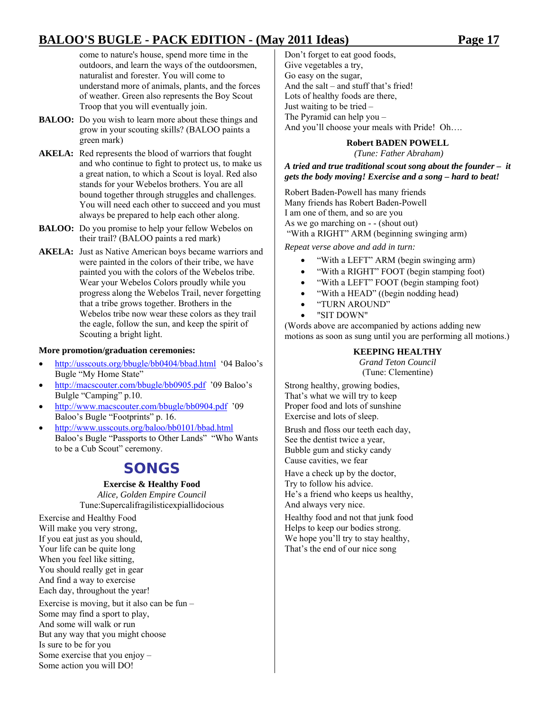come to nature's house, spend more time in the outdoors, and learn the ways of the outdoorsmen, naturalist and forester. You will come to understand more of animals, plants, and the forces of weather. Green also represents the Boy Scout Troop that you will eventually join.

- **BALOO:** Do you wish to learn more about these things and grow in your scouting skills? (BALOO paints a green mark)
- AKELA: Red represents the blood of warriors that fought and who continue to fight to protect us, to make us a great nation, to which a Scout is loyal. Red also stands for your Webelos brothers. You are all bound together through struggles and challenges. You will need each other to succeed and you must always be prepared to help each other along.
- **BALOO:** Do you promise to help your fellow Webelos on their trail? (BALOO paints a red mark)
- **AKELA:** Just as Native American boys became warriors and were painted in the colors of their tribe, we have painted you with the colors of the Webelos tribe. Wear your Webelos Colors proudly while you progress along the Webelos Trail, never forgetting that a tribe grows together. Brothers in the Webelos tribe now wear these colors as they trail the eagle, follow the sun, and keep the spirit of Scouting a bright light.

#### **More promotion/graduation ceremonies:**

- http://usscouts.org/bbugle/bb0404/bbad.html '04 Baloo's Bugle "My Home State"
- http://macscouter.com/bbugle/bb0905.pdf '09 Baloo's Bulgle "Camping" p.10.
- http://www.macscouter.com/bbugle/bb0904.pdf '09 Baloo's Bugle "Footprints" p. 16.
- http://www.usscouts.org/baloo/bb0101/bbad.html Baloo's Bugle "Passports to Other Lands" "Who Wants to be a Cub Scout" ceremony.

### **SONGS**

### **Exercise & Healthy Food**

*Alice, Golden Empire Council*  Tune:Supercalifragilisticexpiallidocious

Exercise and Healthy Food Will make you very strong, If you eat just as you should, Your life can be quite long When you feel like sitting, You should really get in gear And find a way to exercise Each day, throughout the year!

Exercise is moving, but it also can be fun – Some may find a sport to play, And some will walk or run But any way that you might choose Is sure to be for you Some exercise that you enjoy – Some action you will DO!

Don't forget to eat good foods, Give vegetables a try, Go easy on the sugar, And the salt – and stuff that's fried! Lots of healthy foods are there, Just waiting to be tried – The Pyramid can help you – And you'll choose your meals with Pride! Oh….

#### **Robert BADEN POWELL**

 *(Tune: Father Abraham)* 

*A tried and true traditional scout song about the founder – it gets the body moving! Exercise and a song – hard to beat!* 

Robert Baden-Powell has many friends Many friends has Robert Baden-Powell I am one of them, and so are you As we go marching on - - (shout out) "With a RIGHT" ARM (beginning swinging arm)

*Repeat verse above and add in turn:* 

- "With a LEFT" ARM (begin swinging arm)
- "With a RIGHT" FOOT (begin stamping foot)
- "With a LEFT" FOOT (begin stamping foot)
- "With a HEAD" ((begin nodding head)
- "TURN AROUND"
- "SIT DOWN"

(Words above are accompanied by actions adding new motions as soon as sung until you are performing all motions.)

#### **KEEPING HEALTHY**

*Grand Teton Council*  (Tune: Clementine)

Strong healthy, growing bodies, That's what we will try to keep Proper food and lots of sunshine Exercise and lots of sleep.

Brush and floss our teeth each day, See the dentist twice a year, Bubble gum and sticky candy Cause cavities, we fear

Have a check up by the doctor, Try to follow his advice. He's a friend who keeps us healthy, And always very nice.

Healthy food and not that junk food Helps to keep our bodies strong. We hope you'll try to stay healthy, That's the end of our nice song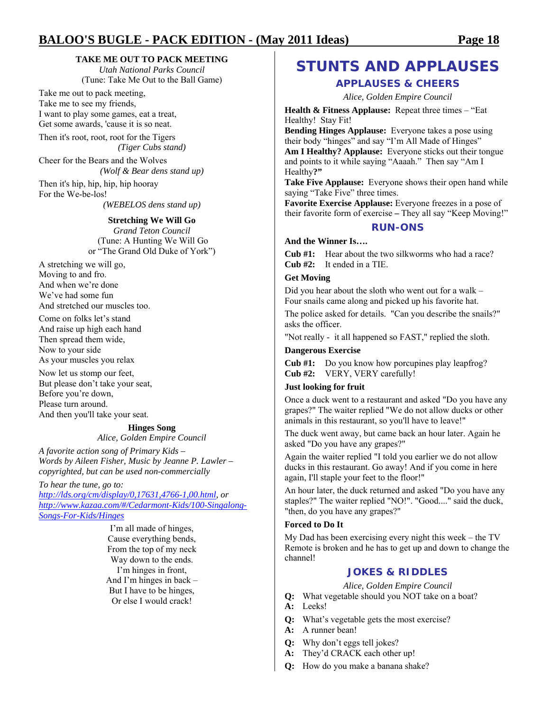### **TAKE ME OUT TO PACK MEETING**

*Utah National Parks Council*  (Tune: Take Me Out to the Ball Game)

Take me out to pack meeting, Take me to see my friends, I want to play some games, eat a treat, Get some awards, 'cause it is so neat.

Then it's root, root, root for the Tigers *(Tiger Cubs stand)* 

Cheer for the Bears and the Wolves *(Wolf & Bear dens stand up)* 

Then it's hip, hip, hip, hip hooray For the We-be-los!

*(WEBELOS dens stand up)* 

#### **Stretching We Will Go**

*Grand Teton Council*  (Tune: A Hunting We Will Go or "The Grand Old Duke of York")

A stretching we will go, Moving to and fro. And when we're done We've had some fun And stretched our muscles too.

Come on folks let's stand And raise up high each hand Then spread them wide, Now to your side As your muscles you relax

Now let us stomp our feet, But please don't take your seat, Before you're down, Please turn around. And then you'll take your seat.

### **Hinges Song**

*Alice, Golden Empire Council* 

*A favorite action song of Primary Kids – Words by Aileen Fisher, Music by Jeanne P. Lawler – copyrighted, but can be used non-commercially* 

*To hear the tune, go to:* 

*http://lds.org/cm/display/0,17631,4766-1,00.html, or http://www.kazaa.com/#/Cedarmont-Kids/100-Singalong-Songs-For-Kids/Hinges* 

> I'm all made of hinges, Cause everything bends, From the top of my neck Way down to the ends. I'm hinges in front, And I'm hinges in back – But I have to be hinges, Or else I would crack!

### **STUNTS AND APPLAUSES**

### **APPLAUSES & CHEERS**

*Alice, Golden Empire Council* 

**Health & Fitness Applause:** Repeat three times – "Eat Healthy! Stay Fit!

**Bending Hinges Applause:** Everyone takes a pose using their body "hinges" and say "I'm All Made of Hinges" **Am I Healthy? Applause:** Everyone sticks out their tongue and points to it while saying "Aaaah." Then say "Am I Healthy**?"** 

**Take Five Applause:** Everyone shows their open hand while saying "Take Five" three times.

**Favorite Exercise Applause:** Everyone freezes in a pose of their favorite form of exercise **–** They all say "Keep Moving!"

### **RUN-ONS**

**And the Winner Is….** 

**Cub #1:** Hear about the two silkworms who had a race? **Cub #2:** It ended in a TIE.

### **Get Moving**

Did you hear about the sloth who went out for a walk – Four snails came along and picked up his favorite hat.

The police asked for details. "Can you describe the snails?" asks the officer.

"Not really - it all happened so FAST," replied the sloth.

#### **Dangerous Exercise**

**Cub #1:** Do you know how porcupines play leapfrog? **Cub #2:** VERY, VERY carefully!

#### **Just looking for fruit**

Once a duck went to a restaurant and asked "Do you have any grapes?" The waiter replied "We do not allow ducks or other animals in this restaurant, so you'll have to leave!"

The duck went away, but came back an hour later. Again he asked "Do you have any grapes?"

Again the waiter replied "I told you earlier we do not allow ducks in this restaurant. Go away! And if you come in here again, I'll staple your feet to the floor!"

An hour later, the duck returned and asked "Do you have any staples?" The waiter replied "NO!". "Good...." said the duck, "then, do you have any grapes?"

### **Forced to Do It**

My Dad has been exercising every night this week – the TV Remote is broken and he has to get up and down to change the channel!

### **JOKES & RIDDLES**

*Alice, Golden Empire Council* 

- **Q:** What vegetable should you NOT take on a boat?
- **A:** Leeks!
- **Q:** What's vegetable gets the most exercise?
- **A:** A runner bean!
- **Q:** Why don't eggs tell jokes?
- **A:** They'd CRACK each other up!
- **Q:** How do you make a banana shake?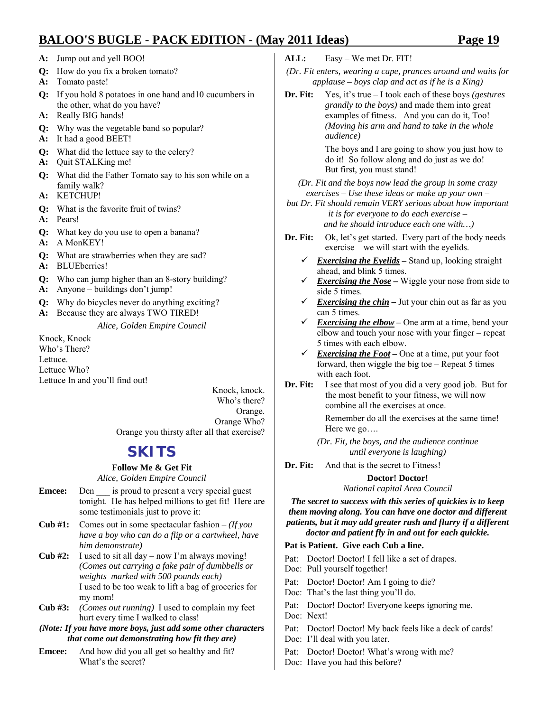- **A:** Jump out and yell BOO!
- **Q:** How do you fix a broken tomato?
- **A:** Tomato paste!
- **Q:** If you hold 8 potatoes in one hand and10 cucumbers in the other, what do you have?
- **A:** Really BIG hands!
- **Q:** Why was the vegetable band so popular?
- **A:** It had a good BEET!
- **Q:** What did the lettuce say to the celery?
- **A:** Quit STALKing me!
- **Q:** What did the Father Tomato say to his son while on a family walk?
- **A:** KETCHUP!
- **Q:** What is the favorite fruit of twins?
- **A:** Pears!
- **Q:** What key do you use to open a banana?
- **A:** A MonKEY!
- **Q:** What are strawberries when they are sad?
- **A:** BLUEberries!
- **Q:** Who can jump higher than an 8-story building?
- **A:** Anyone buildings don't jump!
- **Q:** Why do bicycles never do anything exciting?
- **A:** Because they are always TWO TIRED!

*Alice, Golden Empire Council* 

Knock, Knock Who's There? Lettuce. Lettuce Who? Lettuce In and you'll find out!

Knock, knock. Who's there? Orange. Orange Who? Orange you thirsty after all that exercise?

### **SKITS**

### **Follow Me & Get Fit**

*Alice, Golden Empire Council* 

- **Emcee:** Den is proud to present a very special guest tonight. He has helped millions to get fit! Here are some testimonials just to prove it:
- **Cub #1:** Comes out in some spectacular fashion *(If you have a boy who can do a flip or a cartwheel, have him demonstrate)*
- **Cub #2:** I used to sit all day now I'm always moving! *(Comes out carrying a fake pair of dumbbells or weights marked with 500 pounds each)*  I used to be too weak to lift a bag of groceries for my mom!
- **Cub #3:** *(Comes out running)* I used to complain my feet hurt every time I walked to class!
- *(Note: If you have more boys, just add some other characters that come out demonstrating how fit they are)*
- **Emcee:** And how did you all get so healthy and fit? What's the secret?
- **ALL:** Easy We met Dr. FIT!
- *(Dr. Fit enters, wearing a cape, prances around and waits for applause – boys clap and act as if he is a King)*
- **Dr. Fit:** Yes, it's true I took each of these boys *(gestures grandly to the boys)* and made them into great examples of fitness. And you can do it, Too! *(Moving his arm and hand to take in the whole audience)*

 The boys and I are going to show you just how to do it! So follow along and do just as we do! But first, you must stand!

*(Dr. Fit and the boys now lead the group in some crazy exercises – Use these ideas or make up your own –* 

*but Dr. Fit should remain VERY serious about how important it is for everyone to do each exercise – and he should introduce each one with…)* 

- **Dr. Fit:** Ok, let's get started. Every part of the body needs exercise – we will start with the eyelids.
	- 9 *Exercising the Eyelids* Stand up, looking straight ahead, and blink 5 times.
	- 9 *Exercising the Nose* Wiggle your nose from side to side 5 times.
	- $\checkmark$  *Exercising the chin Jut your chin out as far as you* can 5 times.
	- *Exercising the elbow* One arm at a time, bend your elbow and touch your nose with your finger – repeat 5 times with each elbow.
	- $\checkmark$  **Exercising the Foot** One at a time, put your foot forward, then wiggle the big toe – Repeat 5 times with each foot.
- **Dr. Fit:** I see that most of you did a very good job. But for the most benefit to your fitness, we will now combine all the exercises at once.

 Remember do all the exercises at the same time! Here we go….

- *(Dr. Fit, the boys, and the audience continue until everyone is laughing)*
- **Dr. Fit:** And that is the secret to Fitness!

### **Doctor! Doctor!**

*National capital Area Council* 

*The secret to success with this series of quickies is to keep them moving along. You can have one doctor and different patients, but it may add greater rush and flurry if a different doctor and patient fly in and out for each quickie.* 

### **Pat is Patient. Give each Cub a line.**

- Pat: Doctor! Doctor! I fell like a set of drapes.
- Doc: Pull yourself together!
- Pat: Doctor! Doctor! Am I going to die?
- Doc: That's the last thing you'll do.
- Pat: Doctor! Doctor! Everyone keeps ignoring me.
- Doc: Next!
- Pat: Doctor! Doctor! My back feels like a deck of cards!
- Doc: I'll deal with you later.
- Pat: Doctor! Doctor! What's wrong with me?
- Doc: Have you had this before?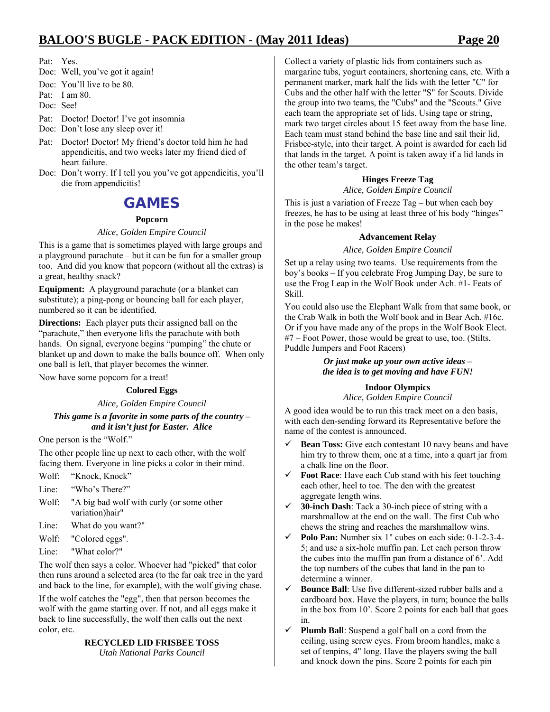Pat: Yes.

- Doc: Well, you've got it again!
- Doc: You'll live to be 80.
- Pat: I am 80.
- Doc: See!
- Pat: Doctor! Doctor! I've got insomnia
- Doc: Don't lose any sleep over it!
- Pat: Doctor! Doctor! My friend's doctor told him he had appendicitis, and two weeks later my friend died of heart failure.
- Doc: Don't worry. If I tell you you've got appendicitis, you'll die from appendicitis!

### **GAMES**

### **Popcorn**

### *Alice, Golden Empire Council*

This is a game that is sometimes played with large groups and a playground parachute – but it can be fun for a smaller group too. And did you know that popcorn (without all the extras) is a great, healthy snack?

**Equipment:** A playground parachute (or a blanket can substitute); a ping-pong or bouncing ball for each player, numbered so it can be identified.

**Directions:** Each player puts their assigned ball on the "parachute," then everyone lifts the parachute with both hands. On signal, everyone begins "pumping" the chute or blanket up and down to make the balls bounce off. When only one ball is left, that player becomes the winner.

Now have some popcorn for a treat!

### **Colored Eggs**

*Alice, Golden Empire Council* 

### *This game is a favorite in some parts of the country – and it isn't just for Easter. Alice*

One person is the "Wolf."

The other people line up next to each other, with the wolf facing them. Everyone in line picks a color in their mind.

- Wolf: "Knock, Knock"
- Line: "Who's There?"
- Wolf: "A big bad wolf with curly (or some other variation)hair"
- Line: What do you want?"
- Wolf: "Colored eggs".
- Line: "What color?"

The wolf then says a color. Whoever had "picked" that color then runs around a selected area (to the far oak tree in the yard and back to the line, for example), with the wolf giving chase.

If the wolf catches the "egg", then that person becomes the wolf with the game starting over. If not, and all eggs make it back to line successfully, the wolf then calls out the next color, etc.

#### **RECYCLED LID FRISBEE TOSS**  *Utah National Parks Council*

Collect a variety of plastic lids from containers such as margarine tubs, yogurt containers, shortening cans, etc. With a permanent marker, mark half the lids with the letter "C" for Cubs and the other half with the letter "S" for Scouts. Divide the group into two teams, the "Cubs" and the "Scouts." Give each team the appropriate set of lids. Using tape or string, mark two target circles about 15 feet away from the base line. Each team must stand behind the base line and sail their lid, Frisbee-style, into their target. A point is awarded for each lid that lands in the target. A point is taken away if a lid lands in the other team's target.

### **Hinges Freeze Tag**

*Alice, Golden Empire Council* 

This is just a variation of Freeze Tag – but when each boy freezes, he has to be using at least three of his body "hinges" in the pose he makes!

### **Advancement Relay**

### *Alice, Golden Empire Council*

Set up a relay using two teams. Use requirements from the boy's books – If you celebrate Frog Jumping Day, be sure to use the Frog Leap in the Wolf Book under Ach. #1- Feats of Skill.

You could also use the Elephant Walk from that same book, or the Crab Walk in both the Wolf book and in Bear Ach. #16c. Or if you have made any of the props in the Wolf Book Elect. #7 – Foot Power, those would be great to use, too. (Stilts, Puddle Jumpers and Foot Racers)

### *Or just make up your own active ideas – the idea is to get moving and have FUN!*

### **Indoor Olympics**

*Alice, Golden Empire Council* 

A good idea would be to run this track meet on a den basis, with each den-sending forward its Representative before the name of the contest is announced.

- Bean Toss: Give each contestant 10 navy beans and have him try to throw them, one at a time, into a quart jar from a chalk line on the floor.
- Foot Race: Have each Cub stand with his feet touching each other, heel to toe. The den with the greatest aggregate length wins.
- 9 **30-inch Dash**: Tack a 30-inch piece of string with a marshmallow at the end on the wall. The first Cub who chews the string and reaches the marshmallow wins.
- Polo Pan: Number six 1" cubes on each side: 0-1-2-3-4-5; and use a six-hole muffin pan. Let each person throw the cubes into the muffin pan from a distance of 6'. Add the top numbers of the cubes that land in the pan to determine a winner.
- $\checkmark$  **Bounce Ball**: Use five different-sized rubber balls and a cardboard box. Have the players, in turn; bounce the balls in the box from 10'. Score 2 points for each ball that goes in.
- Plumb Ball: Suspend a golf ball on a cord from the ceiling, using screw eyes. From broom handles, make a set of tenpins, 4" long. Have the players swing the ball and knock down the pins. Score 2 points for each pin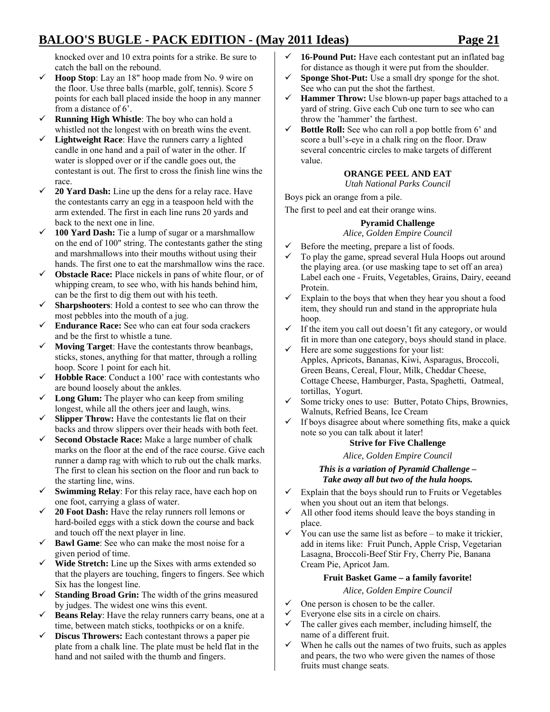knocked over and 10 extra points for a strike. Be sure to catch the ball on the rebound.

- $\checkmark$  **Hoop Stop**: Lay an 18" hoop made from No. 9 wire on the floor. Use three balls (marble, golf, tennis). Score 5 points for each ball placed inside the hoop in any manner from a distance of 6'.
- $\checkmark$  **Running High Whistle**: The boy who can hold a whistled not the longest with on breath wins the event.
- $\checkmark$  Lightweight Race: Have the runners carry a lighted candle in one hand and a pail of water in the other. If water is slopped over or if the candle goes out, the contestant is out. The first to cross the finish line wins the race.
- $\checkmark$  **20 Yard Dash:** Line up the dens for a relay race. Have the contestants carry an egg in a teaspoon held with the arm extended. The first in each line runs 20 yards and back to the next one in line.
- $\checkmark$  **100 Yard Dash:** Tie a lump of sugar or a marshmallow on the end of 100" string. The contestants gather the sting and marshmallows into their mouths without using their hands. The first one to eat the marshmallow wins the race.
- $\checkmark$  **Obstacle Race:** Place nickels in pans of white flour, or of whipping cream, to see who, with his hands behind him, can be the first to dig them out with his teeth.
- $\checkmark$  **Sharpshooters**: Hold a contest to see who can throw the most pebbles into the mouth of a jug.
- 9 **Endurance Race:** See who can eat four soda crackers and be the first to whistle a tune.
- $\checkmark$  **Moving Target**: Have the contestants throw beanbags, sticks, stones, anything for that matter, through a rolling hoop. Score 1 point for each hit.
- $\checkmark$  **Hobble Race**: Conduct a 100' race with contestants who are bound loosely about the ankles.
- $\checkmark$  **Long Glum:** The player who can keep from smiling longest, while all the others jeer and laugh, wins.
- $\checkmark$  **Slipper Throw:** Have the contestants lie flat on their backs and throw slippers over their heads with both feet.
- 9 **Second Obstacle Race:** Make a large number of chalk marks on the floor at the end of the race course. Give each runner a damp rag with which to rub out the chalk marks. The first to clean his section on the floor and run back to the starting line, wins.
- $\checkmark$  **Swimming Relay**: For this relay race, have each hop on one foot, carrying a glass of water.
- $\checkmark$  **20 Foot Dash:** Have the relay runners roll lemons or hard-boiled eggs with a stick down the course and back and touch off the next player in line.
- $\checkmark$  **Bawl Game**: See who can make the most noise for a given period of time.
- $\checkmark$  Wide Stretch: Line up the Sixes with arms extended so that the players are touching, fingers to fingers. See which Six has the longest line.
- $\checkmark$  **Standing Broad Grin:** The width of the grins measured by judges. The widest one wins this event.
- $\checkmark$  **Beans Relay**: Have the relay runners carry beans, one at a time, between match sticks, toothpicks or on a knife.
- 9 **Discus Throwers:** Each contestant throws a paper pie plate from a chalk line. The plate must be held flat in the hand and not sailed with the thumb and fingers.
- $\checkmark$  **16-Pound Put:** Have each contestant put an inflated bag for distance as though it were put from the shoulder.
- $\checkmark$  **Sponge Shot-Put:** Use a small dry sponge for the shot. See who can put the shot the farthest.
- Hammer Throw: Use blown-up paper bags attached to a yard of string. Give each Cub one turn to see who can throw the 'hammer' the farthest.
- $\checkmark$  **Bottle Roll:** See who can roll a pop bottle from 6' and score a bull's-eye in a chalk ring on the floor. Draw several concentric circles to make targets of different value.

### **ORANGE PEEL AND EAT**

*Utah National Parks Council* 

Boys pick an orange from a pile.

The first to peel and eat their orange wins.

### **Pyramid Challenge**

*Alice, Golden Empire Council* 

- $\checkmark$  Before the meeting, prepare a list of foods.
- To play the game, spread several Hula Hoops out around the playing area. (or use masking tape to set off an area) Label each one - Fruits, Vegetables, Grains, Dairy, eeeand Protein.
- Explain to the boys that when they hear you shout a food item, they should run and stand in the appropriate hula hoop.
- If the item you call out doesn't fit any category, or would fit in more than one category, boys should stand in place.
- Here are some suggestions for your list: Apples, Apricots, Bananas, Kiwi, Asparagus, Broccoli, Green Beans, Cereal, Flour, Milk, Cheddar Cheese, Cottage Cheese, Hamburger, Pasta, Spaghetti, Oatmeal, tortillas, Yogurt.
- Some tricky ones to use: Butter, Potato Chips, Brownies, Walnuts, Refried Beans, Ice Cream
- If boys disagree about where something fits, make a quick note so you can talk about it later!

### **Strive for Five Challenge**

*Alice, Golden Empire Council* 

### *This is a variation of Pyramid Challenge – Take away all but two of the hula hoops.*

- Explain that the boys should run to Fruits or Vegetables when you shout out an item that belongs.
- $\checkmark$  All other food items should leave the boys standing in place.
- $\checkmark$  You can use the same list as before to make it trickier, add in items like: Fruit Punch, Apple Crisp, Vegetarian Lasagna, Broccoli-Beef Stir Fry, Cherry Pie, Banana Cream Pie, Apricot Jam.

### **Fruit Basket Game – a family favorite!**

*Alice, Golden Empire Council* 

- $\checkmark$  One person is chosen to be the caller.
- Everyone else sits in a circle on chairs.
- $\checkmark$  The caller gives each member, including himself, the name of a different fruit.
- $\checkmark$  When he calls out the names of two fruits, such as apples and pears, the two who were given the names of those fruits must change seats.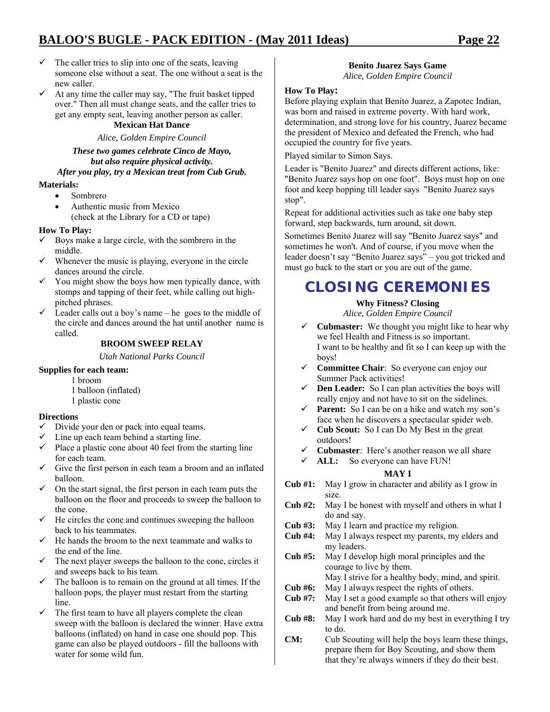- $\checkmark$  The caller tries to slip into one of the seats, leaving someone else without a seat. The one without a seat is the new caller.
- $\checkmark$  At any time the caller may say, "The fruit basket tipped over." Then all must change seats, and the caller tries to get any empty seat, leaving another person as caller.

### **Mexican Hat Dance**

*Alice, Golden Empire Council* 

*These two games celebrate Cinco de Mayo, but also require physical activity. After you play, try a Mexican treat from Cub Grub.* 

#### **Materials:**

- Sombrero
- Authentic music from Mexico (check at the Library for a CD or tape)

### **How To Play:**

- $\checkmark$  Boys make a large circle, with the sombrero in the middle.
- $\checkmark$  Whenever the music is playing, everyone in the circle dances around the circle.
- $\checkmark$  You might show the boys how men typically dance, with stomps and tapping of their feet, while calling out highpitched phrases.
- $\checkmark$  Leader calls out a boy's name he goes to the middle of the circle and dances around the hat until another name is called.

### **BROOM SWEEP RELAY**

*Utah National Parks Council* 

#### **Supplies for each team:**

- 1 broom
- 1 balloon (inflated)
- 1 plastic cone

#### **Directions**

- $\checkmark$  Divide your den or pack into equal teams.
- $\checkmark$  Line up each team behind a starting line.
- $\checkmark$  Place a plastic cone about 40 feet from the starting line for each team.
- $\checkmark$  Give the first person in each team a broom and an inflated balloon.
- $\checkmark$  On the start signal, the first person in each team puts the balloon on the floor and proceeds to sweep the balloon to the cone.
- $\checkmark$  He circles the cone and continues sweeping the balloon back to his teammates.
- $\checkmark$  He hands the broom to the next teammate and walks to the end of the line.
- $\checkmark$  The next player sweeps the balloon to the cone, circles it and sweeps back to his team.
- The balloon is to remain on the ground at all times. If the balloon pops, the player must restart from the starting line.
- $\checkmark$  The first team to have all players complete the clean sweep with the balloon is declared the winner. Have extra balloons (inflated) on hand in case one should pop. This game can also be played outdoors - fill the balloons with water for some wild fun.

### **Benito Juarez Says Game**

*Alice, Golden Empire Council* 

#### **How To Play:**

Before playing explain that Benito Juarez, a Zapotec Indian, was born and raised in extreme poverty. With hard work, determination, and strong love for his country, Juarez became the president of Mexico and defeated the French, who had occupied the country for five years.

Played similar to Simon Says.

Leader is "Benito Juarez" and directs different actions, like: "Benito Juarez says hop on one foot". Boys must hop on one foot and keep hopping till leader says "Benito Juarez says stop".

Repeat for additional activities such as take one baby step forward, step backwards, turn around, sit down.

Sometimes Benito Juarez will say "Benito Juarez says" and sometimes he won't. And of course, if you move when the leader doesn't say "Benito Juarez says" – you got tricked and must go back to the start or you are out of the game.

### **CLOSING CEREMONIES**

### **Why Fitness? Closing**

*Alice, Golden Empire Council* 

- 9 **Cubmaster:** We thought you might like to hear why we feel Health and Fitness is so important. I want to be healthy and fit so I can keep up with the boys!
- 9 **Committee Chair**: So everyone can enjoy our Summer Pack activities!
- $\checkmark$  **Den Leader:** So I can plan activities the boys will really enjoy and not have to sit on the sidelines.
- $\checkmark$  **Parent:** So I can be on a hike and watch my son's face when he discovers a spectacular spider web.
- 9 **Cub Scout:** So I can Do My Best in the great outdoors!
- 9 **Cubmaster**: Here's another reason we all share
- 9 **ALL:** So everyone can have FUN!

#### **MAY I**

- **Cub #1:** May I grow in character and ability as I grow in size.
- **Cub #2:** May I be honest with myself and others in what I do and say.
- **Cub #3:** May I learn and practice my religion.
- **Cub #4:** May I always respect my parents, my elders and my leaders.
- **Cub #5:** May I develop high moral principles and the courage to live by them.
	- May I strive for a healthy body, mind, and spirit.
- **Cub #6:** May I always respect the rights of others.
- **Cub #7:** May I set a good example so that others will enjoy and benefit from being around me.
- **Cub #8:** May I work hard and do my best in everything I try to do.
- **CM:** Cub Scouting will help the boys learn these things, prepare them for Boy Scouting, and show them that they're always winners if they do their best.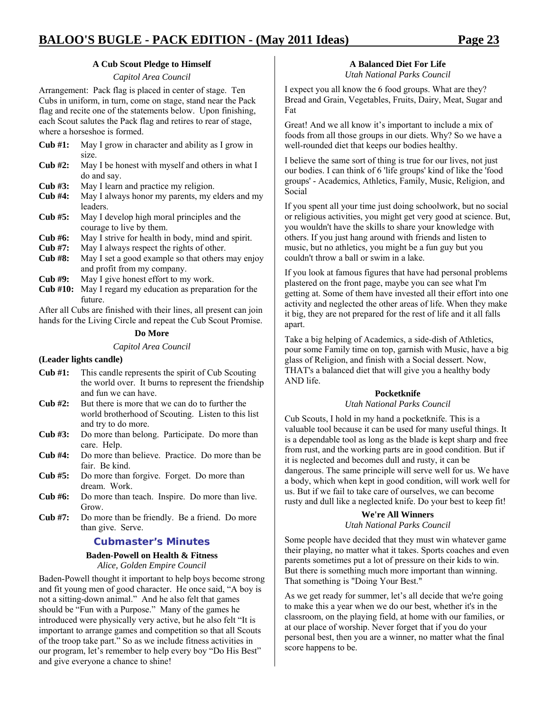### **A Cub Scout Pledge to Himself**

*Capitol Area Council* 

Arrangement: Pack flag is placed in center of stage. Ten Cubs in uniform, in turn, come on stage, stand near the Pack flag and recite one of the statements below. Upon finishing, each Scout salutes the Pack flag and retires to rear of stage, where a horseshoe is formed.

- **Cub #1:** May I grow in character and ability as I grow in size.
- **Cub #2:** May I be honest with myself and others in what I do and say.
- **Cub #3:** May I learn and practice my religion.
- **Cub #4:** May I always honor my parents, my elders and my leaders.
- **Cub #5:** May I develop high moral principles and the courage to live by them.
- **Cub #6:** May I strive for health in body, mind and spirit.
- **Cub #7:** May I always respect the rights of other.
- **Cub #8:** May I set a good example so that others may enjoy and profit from my company.
- **Cub #9:** May I give honest effort to my work.
- **Cub #10:** May I regard my education as preparation for the future.

After all Cubs are finished with their lines, all present can join hands for the Living Circle and repeat the Cub Scout Promise.

#### **Do More**

#### *Capitol Area Council*

### **(Leader lights candle)**

- **Cub #1:** This candle represents the spirit of Cub Scouting the world over. It burns to represent the friendship and fun we can have.
- **Cub #2:** But there is more that we can do to further the world brotherhood of Scouting. Listen to this list and try to do more.
- **Cub #3:** Do more than belong. Participate. Do more than care. Help.
- **Cub #4:** Do more than believe. Practice. Do more than be fair. Be kind.
- **Cub #5:** Do more than forgive. Forget. Do more than dream. Work.
- **Cub #6:** Do more than teach. Inspire. Do more than live. Grow.
- **Cub #7:** Do more than be friendly. Be a friend. Do more than give. Serve.

### **Cubmaster's Minutes**

### **Baden-Powell on Health & Fitness**

*Alice, Golden Empire Council* 

Baden-Powell thought it important to help boys become strong and fit young men of good character. He once said, "A boy is not a sitting-down animal." And he also felt that games should be "Fun with a Purpose." Many of the games he introduced were physically very active, but he also felt "It is important to arrange games and competition so that all Scouts of the troop take part." So as we include fitness activities in our program, let's remember to help every boy "Do His Best" and give everyone a chance to shine!

### **A Balanced Diet For Life**

*Utah National Parks Council* 

I expect you all know the 6 food groups. What are they? Bread and Grain, Vegetables, Fruits, Dairy, Meat, Sugar and Fat

Great! And we all know it's important to include a mix of foods from all those groups in our diets. Why? So we have a well-rounded diet that keeps our bodies healthy.

I believe the same sort of thing is true for our lives, not just our bodies. I can think of 6 'life groups' kind of like the 'food groups' - Academics, Athletics, Family, Music, Religion, and Social

If you spent all your time just doing schoolwork, but no social or religious activities, you might get very good at science. But, you wouldn't have the skills to share your knowledge with others. If you just hang around with friends and listen to music, but no athletics, you might be a fun guy but you couldn't throw a ball or swim in a lake.

If you look at famous figures that have had personal problems plastered on the front page, maybe you can see what I'm getting at. Some of them have invested all their effort into one activity and neglected the other areas of life. When they make it big, they are not prepared for the rest of life and it all falls apart.

Take a big helping of Academics, a side-dish of Athletics, pour some Family time on top, garnish with Music, have a big glass of Religion, and finish with a Social dessert. Now, THAT's a balanced diet that will give you a healthy body AND life.

### **Pocketknife**

### *Utah National Parks Council*

Cub Scouts, I hold in my hand a pocketknife. This is a valuable tool because it can be used for many useful things. It is a dependable tool as long as the blade is kept sharp and free from rust, and the working parts are in good condition. But if it is neglected and becomes dull and rusty, it can be dangerous. The same principle will serve well for us. We have a body, which when kept in good condition, will work well for us. But if we fail to take care of ourselves, we can become rusty and dull like a neglected knife. Do your best to keep fit!

#### **We're All Winners**  *Utah National Parks Council*

Some people have decided that they must win whatever game their playing, no matter what it takes. Sports coaches and even parents sometimes put a lot of pressure on their kids to win. But there is something much more important than winning. That something is "Doing Your Best."

As we get ready for summer, let's all decide that we're going to make this a year when we do our best, whether it's in the classroom, on the playing field, at home with our families, or at our place of worship. Never forget that if you do your personal best, then you are a winner, no matter what the final score happens to be.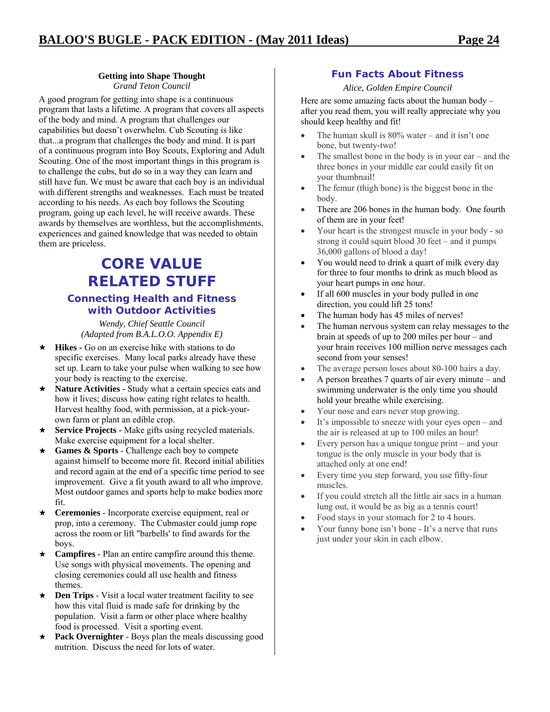### **Getting into Shape Thought**

*Grand Teton Council* 

A good program for getting into shape is a continuous program that lasts a lifetime. A program that covers all aspects of the body and mind. A program that challenges our capabilities but doesn't overwhelm. Cub Scouting is like that...a program that challenges the body and mind. It is part of a continuous program into Boy Scouts, Exploring and Adult Scouting. One of the most important things in this program is to challenge the cubs, but do so in a way they can learn and still have fun. We must be aware that each boy is an individual with different strengths and weaknesses. Each must be treated according to his needs. As each boy follows the Scouting program, going up each level, he will receive awards. These awards by themselves are worthless, but the accomplishments, experiences and gained knowledge that was needed to obtain them are priceless.

### **CORE VALUE RELATED STUFF Connecting Health and Fitness with Outdoor Activities**

*Wendy, Chief Seattle Council (Adapted from B.A.L.O.O. Appendix E)* 

- **Hikes -** Go on an exercise hike with stations to do specific exercises. Many local parks already have these set up. Learn to take your pulse when walking to see how your body is reacting to the exercise.
- $\star$  **Nature Activities -** Study what a certain species eats and how it lives; discuss how eating right relates to health. Harvest healthy food, with permission, at a pick-yourown farm or plant an edible crop.
- **Service Projects -** Make gifts using recycled materials. Make exercise equipment for a local shelter.
- **Games & Sports**  Challenge each boy to compete against himself to become more fit. Record initial abilities and record again at the end of a specific time period to see improvement. Give a fit youth award to all who improve. Most outdoor games and sports help to make bodies more fit.
- **Ceremonies**  Incorporate exercise equipment, real or prop, into a ceremony. The Cubmaster could jump rope across the room or lift "barbells' to find awards for the boys.
- **Campfires**  Plan an entire campfire around this theme. Use songs with physical movements. The opening and closing ceremonies could all use health and fitness themes.
- ★ **Den Trips** Visit a local water treatment facility to see how this vital fluid is made safe for drinking by the population. Visit a farm or other place where healthy food is processed. Visit a sporting event.
- **Pack Overnighter**  Boys plan the meals discussing good nutrition. Discuss the need for lots of water.

### **Fun Facts About Fitness**

### *Alice, Golden Empire Council*

Here are some amazing facts about the human body – after you read them, you will really appreciate why you should keep healthy and fit!

- The human skull is 80% water and it isn't one bone, but twenty-two!
- The smallest bone in the body is in your ear  $-$  and the three bones in your middle ear could easily fit on your thumbnail!
- The femur (thigh bone) is the biggest bone in the body.
- There are 206 bones in the human body. One fourth of them are in your feet!
- Your heart is the strongest muscle in your body so strong it could squirt blood 30 feet – and it pumps 36,000 gallons of blood a day!
- You would need to drink a quart of milk every day for three to four months to drink as much blood as your heart pumps in one hour.
- If all 600 muscles in your body pulled in one direction, you could lift 25 tons!
- The human body has 45 miles of nerves!
- The human nervous system can relay messages to the brain at speeds of up to 200 miles per hour – and your brain receives 100 million nerve messages each second from your senses!
- The average person loses about 80-100 hairs a day.
- A person breathes 7 quarts of air every minute and swimming underwater is the only time you should hold your breathe while exercising.
- Your nose and ears never stop growing.
- It's impossible to sneeze with your eyes open and the air is released at up to 100 miles an hour!
- Every person has a unique tongue print and your tongue is the only muscle in your body that is attached only at one end!
- Every time you step forward, you use fifty-four muscles.
- If you could stretch all the little air sacs in a human lung out, it would be as big as a tennis court!
- Food stays in your stomach for 2 to 4 hours.
- Your funny bone isn't bone It's a nerve that runs just under your skin in each elbow.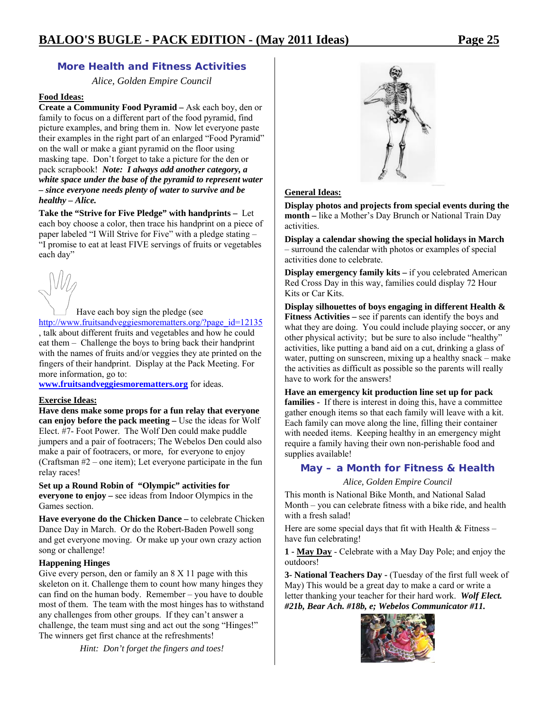### **More Health and Fitness Activities**

*Alice, Golden Empire Council* 

### **Food Ideas:**

**Create a Community Food Pyramid –** Ask each boy, den or family to focus on a different part of the food pyramid, find picture examples, and bring them in. Now let everyone paste their examples in the right part of an enlarged "Food Pyramid" on the wall or make a giant pyramid on the floor using masking tape. Don't forget to take a picture for the den or pack scrapbook! *Note: I always add another category, a white space under the base of the pyramid to represent water – since everyone needs plenty of water to survive and be healthy – Alice.* 

**Take the "Strive for Five Pledge" with handprints –** Let each boy choose a color, then trace his handprint on a piece of paper labeled "I Will Strive for Five" with a pledge stating – "I promise to eat at least FIVE servings of fruits or vegetables each day"



Have each boy sign the pledge (see http://www.fruitsandveggiesmorematters.org/?page\_id=12135 , talk about different fruits and vegetables and how he could eat them – Challenge the boys to bring back their handprint with the names of fruits and/or veggies they ate printed on the fingers of their handprint. Display at the Pack Meeting. For more information, go to:

**www.fruitsandveggiesmorematters.org** for ideas.

### **Exercise Ideas:**

**Have dens make some props for a fun relay that everyone can enjoy before the pack meeting –** Use the ideas for Wolf Elect. #7- Foot Power. The Wolf Den could make puddle jumpers and a pair of footracers; The Webelos Den could also make a pair of footracers, or more, for everyone to enjoy (Craftsman #2 – one item); Let everyone participate in the fun relay races!

**Set up a Round Robin of "Olympic" activities for everyone to enjoy –** see ideas from Indoor Olympics in the Games section.

**Have everyone do the Chicken Dance –** to celebrate Chicken Dance Day in March. Or do the Robert-Baden Powell song and get everyone moving. Or make up your own crazy action song or challenge!

### **Happening Hinges**

Give every person, den or family an 8 X 11 page with this skeleton on it. Challenge them to count how many hinges they can find on the human body. Remember – you have to double most of them. The team with the most hinges has to withstand any challenges from other groups. If they can't answer a challenge, the team must sing and act out the song "Hinges!" The winners get first chance at the refreshments!

*Hint: Don't forget the fingers and toes!* 



### **General Ideas:**

**Display photos and projects from special events during the month –** like a Mother's Day Brunch or National Train Day activities.

**Display a calendar showing the special holidays in March**  – surround the calendar with photos or examples of special activities done to celebrate.

**Display emergency family kits – if you celebrated American** Red Cross Day in this way, families could display 72 Hour Kits or Car Kits.

**Display silhouettes of boys engaging in different Health & Fitness Activities –** see if parents can identify the boys and what they are doing. You could include playing soccer, or any other physical activity; but be sure to also include "healthy" activities, like putting a band aid on a cut, drinking a glass of water, putting on sunscreen, mixing up a healthy snack – make the activities as difficult as possible so the parents will really have to work for the answers!

**Have an emergency kit production line set up for pack**  families - If there is interest in doing this, have a committee gather enough items so that each family will leave with a kit. Each family can move along the line, filling their container with needed items. Keeping healthy in an emergency might require a family having their own non-perishable food and supplies available!

### **May – a Month for Fitness & Health**

*Alice, Golden Empire Council* 

This month is National Bike Month, and National Salad Month – you can celebrate fitness with a bike ride, and health with a fresh salad!

Here are some special days that fit with Health  $&$  Fitness – have fun celebrating!

**1 - May Day** - Celebrate with a May Day Pole; and enjoy the outdoors!

**3- National Teachers Day -** (Tuesday of the first full week of May) This would be a great day to make a card or write a letter thanking your teacher for their hard work. *Wolf Elect. #21b, Bear Ach. #18b, e; Webelos Communicator #11.* 

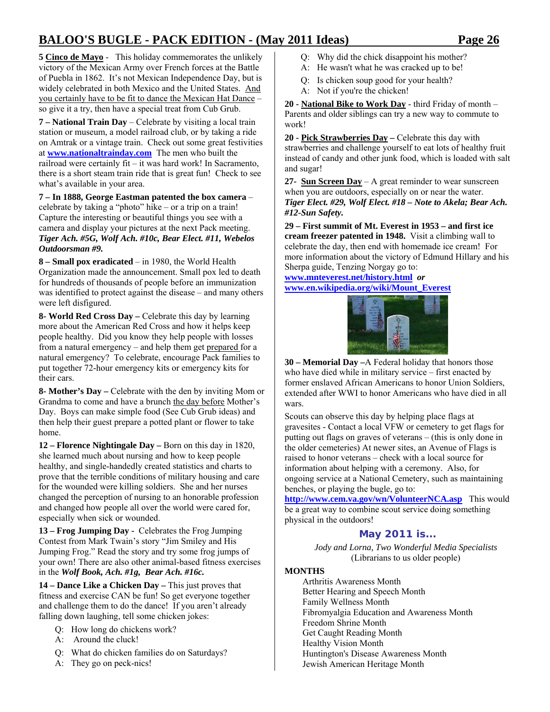**5 Cinco de Mayo** - This holiday commemorates the unlikely victory of the Mexican Army over French forces at the Battle of Puebla in 1862. It's not Mexican Independence Day, but is widely celebrated in both Mexico and the United States. And you certainly have to be fit to dance the Mexican Hat Dance – so give it a try, then have a special treat from Cub Grub.

**7 – National Train Day** – Celebrate by visiting a local train station or museum, a model railroad club, or by taking a ride on Amtrak or a vintage train. Check out some great festivities at **www.nationaltrainday.com** The men who built the railroad were certainly fit – it was hard work! In Sacramento, there is a short steam train ride that is great fun! Check to see what's available in your area.

**7 – In 1888, George Eastman patented the box camera** – celebrate by taking a "photo" hike – or a trip on a train! Capture the interesting or beautiful things you see with a camera and display your pictures at the next Pack meeting. *Tiger Ach. #5G, Wolf Ach. #10c, Bear Elect. #11, Webelos Outdoorsman #9.*

**8 – Small pox eradicated** – in 1980, the World Health Organization made the announcement. Small pox led to death for hundreds of thousands of people before an immunization was identified to protect against the disease – and many others were left disfigured.

**8- World Red Cross Day –** Celebrate this day by learning more about the American Red Cross and how it helps keep people healthy. Did you know they help people with losses from a natural emergency – and help them get prepared for a natural emergency? To celebrate, encourage Pack families to put together 72-hour emergency kits or emergency kits for their cars.

**8- Mother's Day –** Celebrate with the den by inviting Mom or Grandma to come and have a brunch the day before Mother's Day. Boys can make simple food (See Cub Grub ideas) and then help their guest prepare a potted plant or flower to take home.

**12 – Florence Nightingale Day –** Born on this day in 1820, she learned much about nursing and how to keep people healthy, and single-handedly created statistics and charts to prove that the terrible conditions of military housing and care for the wounded were killing soldiers. She and her nurses changed the perception of nursing to an honorable profession and changed how people all over the world were cared for, especially when sick or wounded.

**13 – Frog Jumping Day -** Celebrates the Frog Jumping Contest from Mark Twain's story "Jim Smiley and His Jumping Frog." Read the story and try some frog jumps of your own! There are also other animal-based fitness exercises in the *Wolf Book, Ach. #1g, Bear Ach. #16c.*

**14 – Dance Like a Chicken Day –** This just proves that fitness and exercise CAN be fun! So get everyone together and challenge them to do the dance! If you aren't already falling down laughing, tell some chicken jokes:

- Q: How long do chickens work?
- A: Around the cluck!
- Q: What do chicken families do on Saturdays?
- A: They go on peck-nics!
- Q: Why did the chick disappoint his mother?
- A: He wasn't what he was cracked up to be!
- Q: Is chicken soup good for your health?
- A: Not if you're the chicken!

**20 - National Bike to Work Day** - third Friday of month – Parents and older siblings can try a new way to commute to work!

**20 - Pick Strawberries Day –** Celebrate this day with strawberries and challenge yourself to eat lots of healthy fruit instead of candy and other junk food, which is loaded with salt and sugar!

**27- Sun Screen Day** – A great reminder to wear sunscreen when you are outdoors, especially on or near the water. *Tiger Elect. #29, Wolf Elect. #18 – Note to Akela; Bear Ach. #12-Sun Safety.* 

**29 – First summit of Mt. Everest in 1953 – and first ice cream freezer patented in 1948.** Visit a climbing wall to celebrate the day, then end with homemade ice cream! For more information about the victory of Edmund Hillary and his Sherpa guide, Tenzing Norgay go to:

**www.mnteverest.net/history.html** *or*  **www.en.wikipedia.org/wiki/Mount\_Everest**



**30 – Memorial Day –**A Federal holiday that honors those who have died while in military service – first enacted by former enslaved African Americans to honor Union Soldiers, extended after WWI to honor Americans who have died in all wars.

Scouts can observe this day by helping place flags at gravesites - Contact a local VFW or cemetery to get flags for putting out flags on graves of veterans – (this is only done in the older cemeteries) At newer sites, an Avenue of Flags is raised to honor veterans – check with a local source for information about helping with a ceremony. Also, for ongoing service at a National Cemetery, such as maintaining benches, or playing the bugle, go to:

**http://www.cem.va.gov/wn/VolunteerNCA.asp** This would be a great way to combine scout service doing something physical in the outdoors!

### **May 2011 is...**

*Jody and Lorna, Two Wonderful Media Specialists*  (Librarians to us older people)

### **MONTHS**

Arthritis Awareness Month Better Hearing and Speech Month Family Wellness Month Fibromyalgia Education and Awareness Month Freedom Shrine Month Get Caught Reading Month Healthy Vision Month Huntington's Disease Awareness Month Jewish American Heritage Month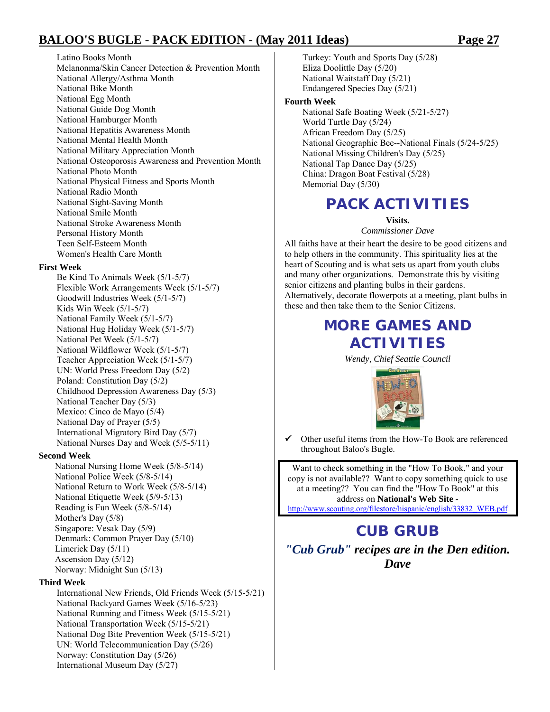Latino Books Month Melanonma/Skin Cancer Detection & Prevention Month National Allergy/Asthma Month National Bike Month National Egg Month National Guide Dog Month National Hamburger Month National Hepatitis Awareness Month National Mental Health Month National Military Appreciation Month National Osteoporosis Awareness and Prevention Month National Photo Month National Physical Fitness and Sports Month National Radio Month National Sight-Saving Month National Smile Month National Stroke Awareness Month Personal History Month Teen Self-Esteem Month Women's Health Care Month

### **First Week**

Be Kind To Animals Week (5/1-5/7) Flexible Work Arrangements Week (5/1-5/7) Goodwill Industries Week (5/1-5/7) Kids Win Week (5/1-5/7) National Family Week (5/1-5/7) National Hug Holiday Week (5/1-5/7) National Pet Week (5/1-5/7) National Wildflower Week (5/1-5/7) Teacher Appreciation Week (5/1-5/7) UN: World Press Freedom Day (5/2) Poland: Constitution Day (5/2) Childhood Depression Awareness Day (5/3) National Teacher Day (5/3) Mexico: Cinco de Mayo (5/4) National Day of Prayer (5/5) International Migratory Bird Day (5/7) National Nurses Day and Week (5/5-5/11)

#### **Second Week**

National Nursing Home Week (5/8-5/14) National Police Week (5/8-5/14) National Return to Work Week (5/8-5/14) National Etiquette Week (5/9-5/13) Reading is Fun Week (5/8-5/14) Mother's Day (5/8) Singapore: Vesak Day (5/9) Denmark: Common Prayer Day (5/10) Limerick Day (5/11) Ascension Day (5/12) Norway: Midnight Sun (5/13)

### **Third Week**

International New Friends, Old Friends Week (5/15-5/21) National Backyard Games Week (5/16-5/23) National Running and Fitness Week (5/15-5/21) National Transportation Week (5/15-5/21) National Dog Bite Prevention Week (5/15-5/21) UN: World Telecommunication Day (5/26) Norway: Constitution Day (5/26) International Museum Day (5/27)

Turkey: Youth and Sports Day (5/28) Eliza Doolittle Day (5/20) National Waitstaff Day (5/21) Endangered Species Day (5/21)

### **Fourth Week**

National Safe Boating Week (5/21-5/27) World Turtle Day (5/24) African Freedom Day (5/25) National Geographic Bee--National Finals (5/24-5/25) National Missing Children's Day (5/25) National Tap Dance Day (5/25) China: Dragon Boat Festival (5/28) Memorial Day (5/30)

### **PACK ACTIVITIES**

**Visits.**  *Commissioner Dave* 

All faiths have at their heart the desire to be good citizens and to help others in the community. This spirituality lies at the heart of Scouting and is what sets us apart from youth clubs and many other organizations. Demonstrate this by visiting senior citizens and planting bulbs in their gardens. Alternatively, decorate flowerpots at a meeting, plant bulbs in these and then take them to the Senior Citizens.

### **MORE GAMES AND ACTIVITIES**

*Wendy, Chief Seattle Council* 



Other useful items from the How-To Book are referenced throughout Baloo's Bugle.

Want to check something in the "How To Book," and your copy is not available?? Want to copy something quick to use at a meeting?? You can find the "How To Book" at this address on **National's Web Site** http://www.scouting.org/filestore/hispanic/english/33832\_WEB.pdf

### **CUB GRUB**

*"Cub Grub" recipes are in the Den edition. Dave*